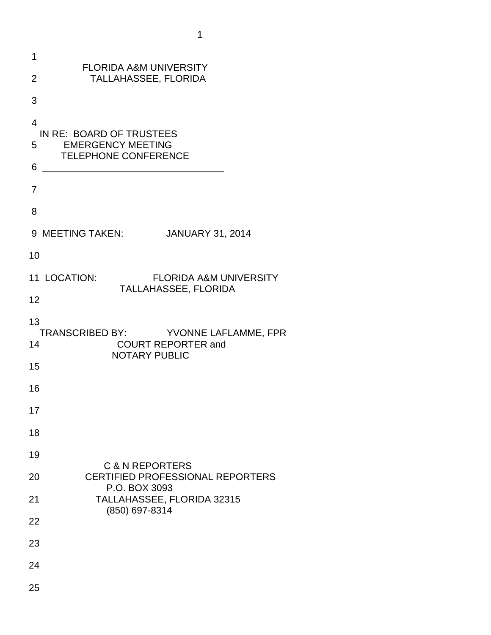| 1              |                                                                                           |
|----------------|-------------------------------------------------------------------------------------------|
| $\overline{2}$ | <b>FLORIDA A&amp;M UNIVERSITY</b><br>TALLAHASSEE, FLORIDA                                 |
| 3              |                                                                                           |
| $\overline{4}$ | IN RE: BOARD OF TRUSTEES                                                                  |
| 5              | <b>EMERGENCY MEETING</b><br><b>TELEPHONE CONFERENCE</b>                                   |
| 6              |                                                                                           |
| 7              |                                                                                           |
| 8              |                                                                                           |
|                | 9 MEETING TAKEN:<br><b>JANUARY 31, 2014</b>                                               |
| 10             |                                                                                           |
|                | 11 LOCATION:<br><b>FLORIDA A&amp;M UNIVERSITY</b><br><b>TALLAHASSEE, FLORIDA</b>          |
| 12             |                                                                                           |
| 13             |                                                                                           |
| 14             | TRANSCRIBED BY: YVONNE LAFLAMME, FPR<br><b>COURT REPORTER and</b><br><b>NOTARY PUBLIC</b> |
| 15             |                                                                                           |
| 16             |                                                                                           |
| 17             |                                                                                           |
| 18             |                                                                                           |
| 19             | <b>C &amp; N REPORTERS</b>                                                                |
| 20             | <b>CERTIFIED PROFESSIONAL REPORTERS</b>                                                   |
| 21             | P.O. BOX 3093<br>TALLAHASSEE, FLORIDA 32315                                               |
| 22             | (850) 697-8314                                                                            |
| 23             |                                                                                           |
| 24             |                                                                                           |
| 25             |                                                                                           |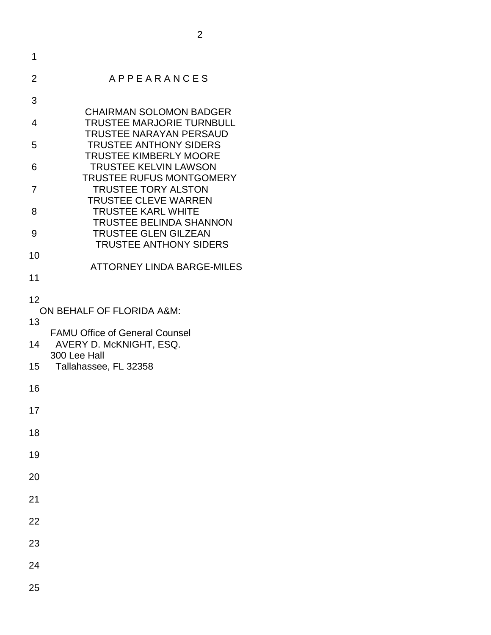| 1               |                                                                    |
|-----------------|--------------------------------------------------------------------|
| 2               | <b>APPEARANCES</b>                                                 |
| 3               |                                                                    |
| 4               | <b>CHAIRMAN SOLOMON BADGER</b><br><b>TRUSTEE MARJORIE TURNBULL</b> |
| 5               | <b>TRUSTEE NARAYAN PERSAUD</b><br><b>TRUSTEE ANTHONY SIDERS</b>    |
| 6               | <b>TRUSTEE KIMBERLY MOORE</b><br><b>TRUSTEE KELVIN LAWSON</b>      |
| 7               | <b>TRUSTEE RUFUS MONTGOMERY</b><br><b>TRUSTEE TORY ALSTON</b>      |
| 8               | <b>TRUSTEE CLEVE WARREN</b><br><b>TRUSTEE KARL WHITE</b>           |
| 9               | <b>TRUSTEE BELINDA SHANNON</b><br><b>TRUSTEE GLEN GILZEAN</b>      |
| 10              | <b>TRUSTEE ANTHONY SIDERS</b>                                      |
| 11              | <b>ATTORNEY LINDA BARGE-MILES</b>                                  |
| 12              |                                                                    |
| 13              | ON BEHALF OF FLORIDA A&M:                                          |
| 14              | <b>FAMU Office of General Counsel</b><br>AVERY D. McKNIGHT, ESQ.   |
| 15 <sup>1</sup> | 300 Lee Hall<br>Tallahassee, FL 32358                              |
| 16              |                                                                    |
| 17              |                                                                    |
| 18              |                                                                    |
| 19              |                                                                    |
| 20              |                                                                    |
| 21              |                                                                    |
| 22              |                                                                    |
| 23              |                                                                    |
| 24              |                                                                    |
|                 |                                                                    |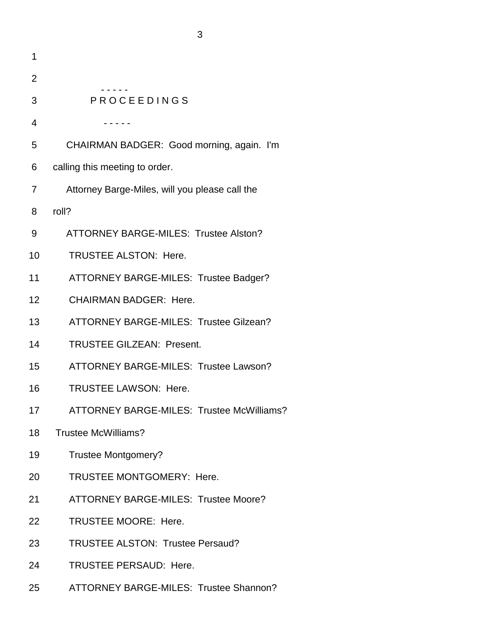| 1  |                                                  |
|----|--------------------------------------------------|
| 2  |                                                  |
| 3  | <b>PROCEEDINGS</b>                               |
| 4  |                                                  |
| 5  | CHAIRMAN BADGER: Good morning, again. I'm        |
| 6  | calling this meeting to order.                   |
| 7  | Attorney Barge-Miles, will you please call the   |
| 8  | roll?                                            |
| 9  | <b>ATTORNEY BARGE-MILES: Trustee Alston?</b>     |
| 10 | <b>TRUSTEE ALSTON: Here.</b>                     |
| 11 | ATTORNEY BARGE-MILES: Trustee Badger?            |
| 12 | <b>CHAIRMAN BADGER: Here.</b>                    |
| 13 | ATTORNEY BARGE-MILES: Trustee Gilzean?           |
| 14 | <b>TRUSTEE GILZEAN: Present.</b>                 |
| 15 | ATTORNEY BARGE-MILES: Trustee Lawson?            |
| 16 | <b>TRUSTEE LAWSON: Here.</b>                     |
| 17 | <b>ATTORNEY BARGE-MILES: Trustee McWilliams?</b> |
| 18 | <b>Trustee McWilliams?</b>                       |
| 19 | <b>Trustee Montgomery?</b>                       |
| 20 | TRUSTEE MONTGOMERY: Here.                        |
| 21 | <b>ATTORNEY BARGE-MILES: Trustee Moore?</b>      |
| 22 | <b>TRUSTEE MOORE: Here.</b>                      |
| 23 | <b>TRUSTEE ALSTON: Trustee Persaud?</b>          |
| 24 | <b>TRUSTEE PERSAUD: Here.</b>                    |
| 25 | ATTORNEY BARGE-MILES: Trustee Shannon?           |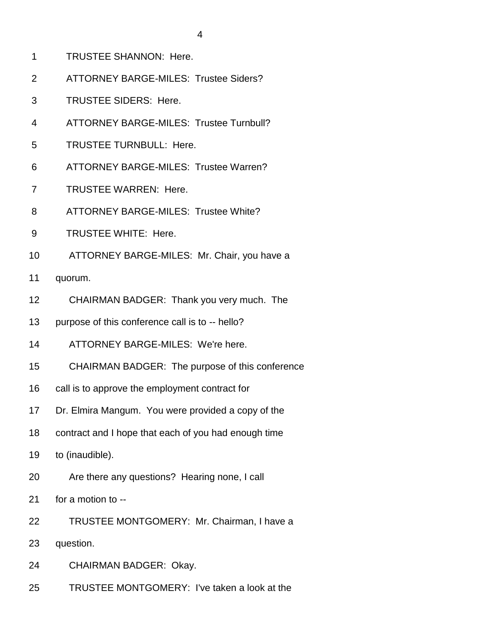- 1 TRUSTEE SHANNON: Here.
- 2 ATTORNEY BARGE-MILES: Trustee Siders?
- 3 TRUSTEE SIDERS: Here.
- 4 ATTORNEY BARGE-MILES: Trustee Turnbull?
- 5 TRUSTEE TURNBULL: Here.
- 6 ATTORNEY BARGE-MILES: Trustee Warren?
- 7 TRUSTEE WARREN: Here.
- 8 ATTORNEY BARGE-MILES: Trustee White?
- 9 TRUSTEE WHITE: Here.
- 10 ATTORNEY BARGE-MILES: Mr. Chair, you have a
- 11 quorum.
- 12 CHAIRMAN BADGER: Thank you very much. The
- 13 purpose of this conference call is to -- hello?
- 14 ATTORNEY BARGE-MILES: We're here.
- 15 CHAIRMAN BADGER: The purpose of this conference
- 16 call is to approve the employment contract for
- 17 Dr. Elmira Mangum. You were provided a copy of the
- 18 contract and I hope that each of you had enough time
- 19 to (inaudible).
- 20 Are there any questions? Hearing none, I call
- 21 for a motion to --
- 22 TRUSTEE MONTGOMERY: Mr. Chairman, I have a
- 23 question.
- 24 CHAIRMAN BADGER: Okay.
- 25 TRUSTEE MONTGOMERY: I've taken a look at the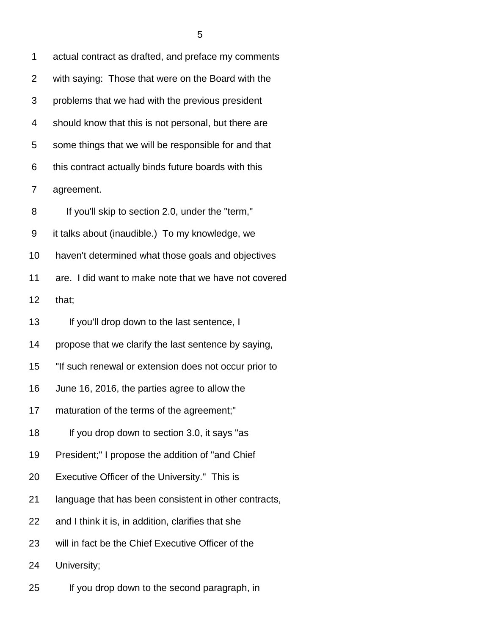1 actual contract as drafted, and preface my comments 2 with saying: Those that were on the Board with the 3 problems that we had with the previous president 4 should know that this is not personal, but there are 5 some things that we will be responsible for and that 6 this contract actually binds future boards with this 7 agreement. 8 If you'll skip to section 2.0, under the "term," 9 it talks about (inaudible.) To my knowledge, we 10 haven't determined what those goals and objectives 11 are. I did want to make note that we have not covered 12 that; 13 If you'll drop down to the last sentence, I 14 propose that we clarify the last sentence by saying, 15 "If such renewal or extension does not occur prior to 16 June 16, 2016, the parties agree to allow the 17 maturation of the terms of the agreement;" 18 If you drop down to section 3.0, it says "as 19 President;" I propose the addition of "and Chief 20 Executive Officer of the University." This is 21 language that has been consistent in other contracts, 22 and I think it is, in addition, clarifies that she 23 will in fact be the Chief Executive Officer of the

24 University;

25 If you drop down to the second paragraph, in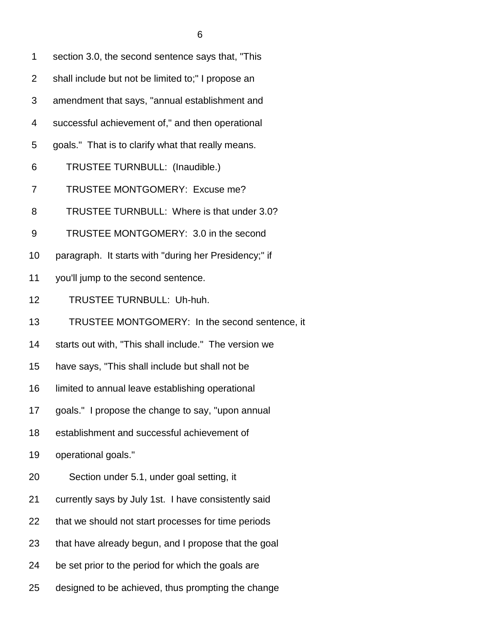1 section 3.0, the second sentence says that, "This 2 shall include but not be limited to;" I propose an 3 amendment that says, "annual establishment and 4 successful achievement of," and then operational 5 goals." That is to clarify what that really means. 6 TRUSTEE TURNBULL: (Inaudible.) 7 TRUSTEE MONTGOMERY: Excuse me? 8 TRUSTEE TURNBULL: Where is that under 3.0? 9 TRUSTEE MONTGOMERY: 3.0 in the second 10 paragraph. It starts with "during her Presidency;" if 11 you'll jump to the second sentence. 12 TRUSTEE TURNBULL: Uh-huh. 13 TRUSTEE MONTGOMERY: In the second sentence, it 14 starts out with, "This shall include." The version we 15 have says, "This shall include but shall not be 16 limited to annual leave establishing operational 17 goals." I propose the change to say, "upon annual 18 establishment and successful achievement of 19 operational goals." 20 Section under 5.1, under goal setting, it 21 currently says by July 1st. I have consistently said 22 that we should not start processes for time periods 23 that have already begun, and I propose that the goal 24 be set prior to the period for which the goals are

25 designed to be achieved, thus prompting the change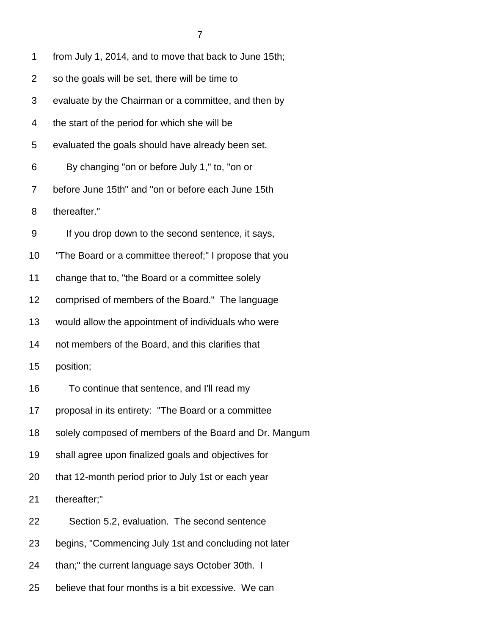1 from July 1, 2014, and to move that back to June 15th;

- 2 so the goals will be set, there will be time to
- 3 evaluate by the Chairman or a committee, and then by
- 4 the start of the period for which she will be

5 evaluated the goals should have already been set.

- 6 By changing "on or before July 1," to, "on or
- 7 before June 15th" and "on or before each June 15th
- 8 thereafter."
- 9 If you drop down to the second sentence, it says,
- 10 "The Board or a committee thereof;" I propose that you
- 11 change that to, "the Board or a committee solely
- 12 comprised of members of the Board." The language
- 13 would allow the appointment of individuals who were
- 14 not members of the Board, and this clarifies that
- 15 position;
- 16 To continue that sentence, and I'll read my
- 17 proposal in its entirety: "The Board or a committee
- 18 solely composed of members of the Board and Dr. Mangum
- 19 shall agree upon finalized goals and objectives for
- 20 that 12-month period prior to July 1st or each year

21 thereafter;"

- 22 Section 5.2, evaluation. The second sentence
- 23 begins, "Commencing July 1st and concluding not later
- 24 than;" the current language says October 30th. I
- 25 believe that four months is a bit excessive. We can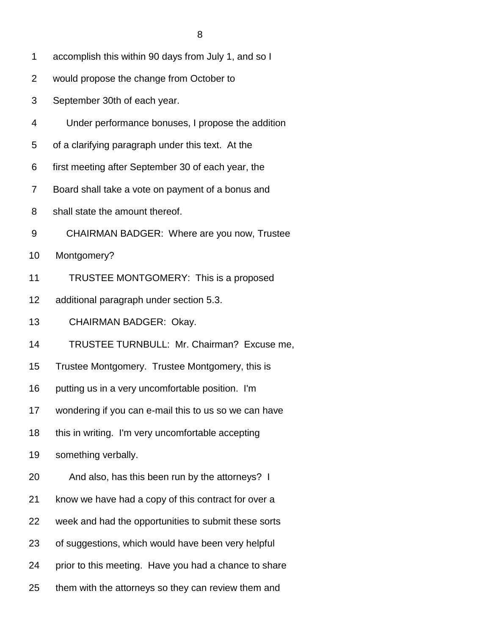- 1 accomplish this within 90 days from July 1, and so I
- 2 would propose the change from October to
- 3 September 30th of each year.
- 4 Under performance bonuses, I propose the addition
- 5 of a clarifying paragraph under this text. At the
- 6 first meeting after September 30 of each year, the
- 7 Board shall take a vote on payment of a bonus and
- 8 shall state the amount thereof.
- 9 CHAIRMAN BADGER: Where are you now, Trustee
- 10 Montgomery?
- 11 TRUSTEE MONTGOMERY: This is a proposed
- 12 additional paragraph under section 5.3.
- 13 CHAIRMAN BADGER: Okay.
- 14 TRUSTEE TURNBULL: Mr. Chairman? Excuse me,
- 15 Trustee Montgomery. Trustee Montgomery, this is
- 16 putting us in a very uncomfortable position. I'm
- 17 wondering if you can e-mail this to us so we can have
- 18 this in writing. I'm very uncomfortable accepting
- 19 something verbally.
- 20 And also, has this been run by the attorneys? I
- 21 know we have had a copy of this contract for over a
- 22 week and had the opportunities to submit these sorts
- 23 of suggestions, which would have been very helpful
- 24 prior to this meeting. Have you had a chance to share
- 25 them with the attorneys so they can review them and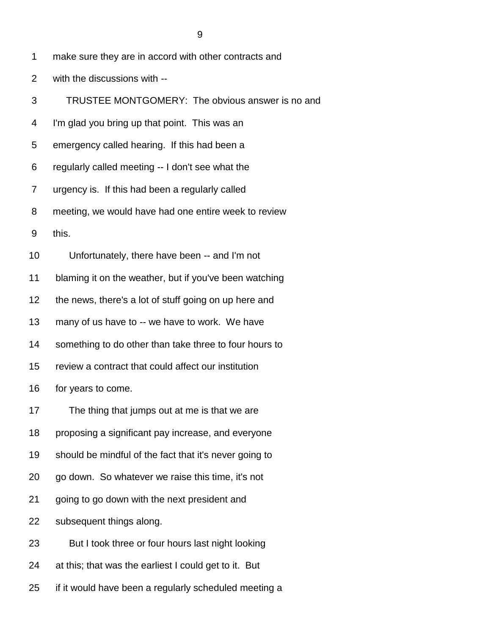- 1 make sure they are in accord with other contracts and
- 2 with the discussions with --
- 3 TRUSTEE MONTGOMERY: The obvious answer is no and
- 4 I'm glad you bring up that point. This was an
- 5 emergency called hearing. If this had been a
- 6 regularly called meeting -- I don't see what the
- 7 urgency is. If this had been a regularly called
- 8 meeting, we would have had one entire week to review
- 9 this.
- 10 Unfortunately, there have been -- and I'm not
- 11 blaming it on the weather, but if you've been watching
- 12 the news, there's a lot of stuff going on up here and
- 13 many of us have to -- we have to work. We have
- 14 something to do other than take three to four hours to
- 15 review a contract that could affect our institution
- 16 for years to come.
- 17 The thing that jumps out at me is that we are
- 18 proposing a significant pay increase, and everyone
- 19 should be mindful of the fact that it's never going to
- 20 go down. So whatever we raise this time, it's not
- 21 going to go down with the next president and
- 22 subsequent things along.
- 23 But I took three or four hours last night looking
- 24 at this; that was the earliest I could get to it. But
- 25 if it would have been a regularly scheduled meeting a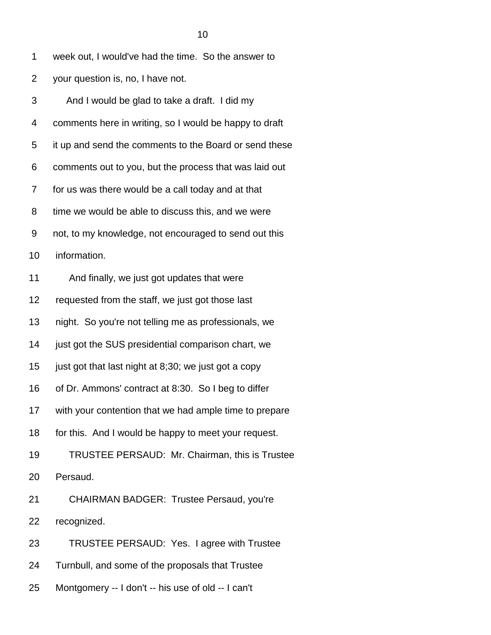| 1              | week out, I would've had the time. So the answer to    |
|----------------|--------------------------------------------------------|
| $\overline{2}$ | your question is, no, I have not.                      |
| 3              | And I would be glad to take a draft. I did my          |
| 4              | comments here in writing, so I would be happy to draft |
| 5              | it up and send the comments to the Board or send these |
| 6              | comments out to you, but the process that was laid out |
| 7              | for us was there would be a call today and at that     |
| 8              | time we would be able to discuss this, and we were     |
| 9              | not, to my knowledge, not encouraged to send out this  |
| 10             | information.                                           |
| 11             | And finally, we just got updates that were             |
| 12             | requested from the staff, we just got those last       |
| 13             | night. So you're not telling me as professionals, we   |
| 14             | just got the SUS presidential comparison chart, we     |
| 15             | just got that last night at 8;30; we just got a copy   |
| 16             | of Dr. Ammons' contract at 8:30. So I beg to differ    |
| 17             | with your contention that we had ample time to prepare |
| 18             | for this. And I would be happy to meet your request.   |
| 19             | TRUSTEE PERSAUD: Mr. Chairman, this is Trustee         |
| 20             | Persaud.                                               |
| 21             | <b>CHAIRMAN BADGER: Trustee Persaud, you're</b>        |
| 22             | recognized.                                            |
| 23             | TRUSTEE PERSAUD: Yes. I agree with Trustee             |
|                |                                                        |

- 24 Turnbull, and some of the proposals that Trustee
- 25 Montgomery -- I don't -- his use of old -- I can't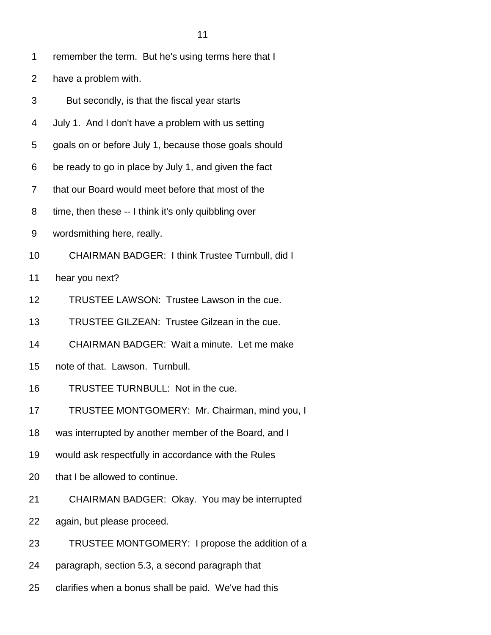- 2 have a problem with.
- 3 But secondly, is that the fiscal year starts
- 4 July 1. And I don't have a problem with us setting
- 5 goals on or before July 1, because those goals should
- 6 be ready to go in place by July 1, and given the fact
- 7 that our Board would meet before that most of the
- 8 time, then these -- I think it's only quibbling over
- 9 wordsmithing here, really.
- 10 CHAIRMAN BADGER: I think Trustee Turnbull, did I
- 11 hear you next?
- 12 TRUSTEE LAWSON: Trustee Lawson in the cue.
- 13 TRUSTEE GILZEAN: Trustee Gilzean in the cue.
- 14 CHAIRMAN BADGER: Wait a minute. Let me make
- 15 note of that. Lawson. Turnbull.
- 16 TRUSTEE TURNBULL: Not in the cue.
- 17 TRUSTEE MONTGOMERY: Mr. Chairman, mind you, I
- 18 was interrupted by another member of the Board, and I
- 19 would ask respectfully in accordance with the Rules
- 20 that I be allowed to continue.
- 21 CHAIRMAN BADGER: Okay. You may be interrupted
- 22 again, but please proceed.
- 23 TRUSTEE MONTGOMERY: I propose the addition of a
- 24 paragraph, section 5.3, a second paragraph that
- 25 clarifies when a bonus shall be paid. We've had this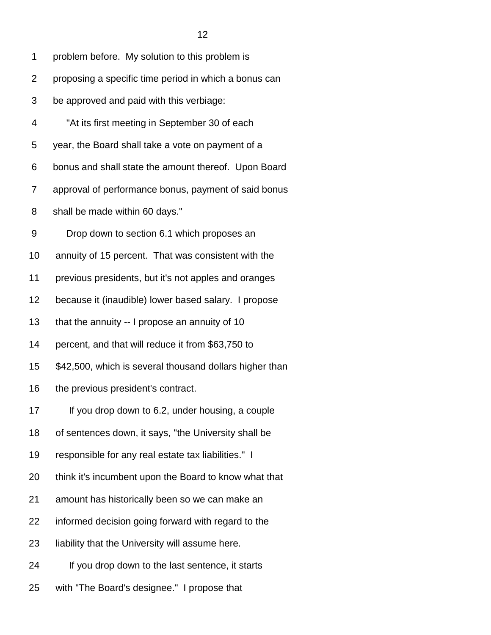|    | 12                                                      |
|----|---------------------------------------------------------|
| 1  | problem before. My solution to this problem is          |
| 2  | proposing a specific time period in which a bonus can   |
| 3  | be approved and paid with this verbiage:                |
| 4  | "At its first meeting in September 30 of each           |
| 5  | year, the Board shall take a vote on payment of a       |
| 6  | bonus and shall state the amount thereof. Upon Board    |
| 7  | approval of performance bonus, payment of said bonus    |
| 8  | shall be made within 60 days."                          |
| 9  | Drop down to section 6.1 which proposes an              |
| 10 | annuity of 15 percent. That was consistent with the     |
| 11 | previous presidents, but it's not apples and oranges    |
| 12 | because it (inaudible) lower based salary. I propose    |
| 13 | that the annuity -- I propose an annuity of 10          |
| 14 | percent, and that will reduce it from \$63,750 to       |
| 15 | \$42,500, which is several thousand dollars higher than |
| 16 | the previous president's contract.                      |
| 17 | If you drop down to 6.2, under housing, a couple        |
| 18 | of sentences down, it says, "the University shall be    |
| 19 | responsible for any real estate tax liabilities." I     |
| 20 | think it's incumbent upon the Board to know what that   |

- 21 amount has historically been so we can make an
- 22 informed decision going forward with regard to the
- 23 liability that the University will assume here.
- 24 If you drop down to the last sentence, it starts
- 25 with "The Board's designee." I propose that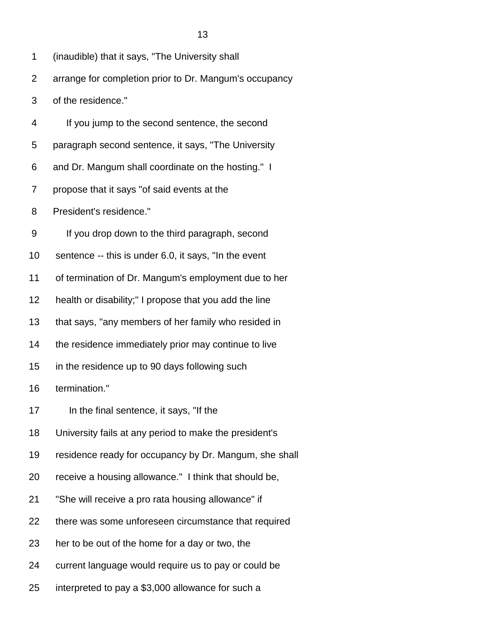|                | 13                                                     |
|----------------|--------------------------------------------------------|
| 1              | (inaudible) that it says, "The University shall        |
| $\overline{2}$ | arrange for completion prior to Dr. Mangum's occupancy |
| 3              | of the residence."                                     |
| 4              | If you jump to the second sentence, the second         |
| 5              | paragraph second sentence, it says, "The University    |
| 6              | and Dr. Mangum shall coordinate on the hosting." I     |
| 7              | propose that it says "of said events at the            |
| 8              | President's residence."                                |
| 9              | If you drop down to the third paragraph, second        |
| 10             | sentence -- this is under 6.0, it says, "In the event  |
| 11             | of termination of Dr. Mangum's employment due to her   |
| 12             | health or disability;" I propose that you add the line |
| 13             | that says, "any members of her family who resided in   |
| 14             | the residence immediately prior may continue to live   |
| 15             | in the residence up to 90 days following such          |
| 16             | termination."                                          |
| 17             | In the final sentence, it says, "If the                |

- 18 University fails at any period to make the president's
- 19 residence ready for occupancy by Dr. Mangum, she shall
- 20 receive a housing allowance." I think that should be,
- 21 "She will receive a pro rata housing allowance" if
- 22 there was some unforeseen circumstance that required
- 23 her to be out of the home for a day or two, the
- 24 current language would require us to pay or could be
- 25 interpreted to pay a \$3,000 allowance for such a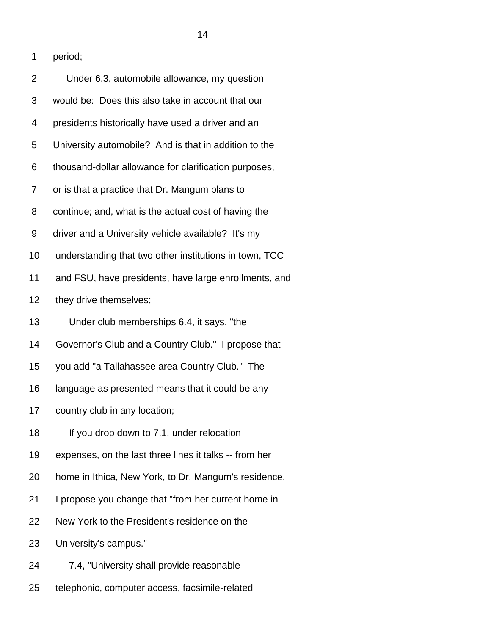1 period;

| $\overline{2}$ | Under 6.3, automobile allowance, my question           |
|----------------|--------------------------------------------------------|
| 3              | would be: Does this also take in account that our      |
| 4              | presidents historically have used a driver and an      |
| 5              | University automobile? And is that in addition to the  |
| 6              | thousand-dollar allowance for clarification purposes,  |
| 7              | or is that a practice that Dr. Mangum plans to         |
| 8              | continue; and, what is the actual cost of having the   |
| 9              | driver and a University vehicle available? It's my     |
| 10             | understanding that two other institutions in town, TCC |
| 11             | and FSU, have presidents, have large enrollments, and  |
| 12             | they drive themselves;                                 |
| 13             | Under club memberships 6.4, it says, "the              |
| 14             | Governor's Club and a Country Club." I propose that    |
| 15             | you add "a Tallahassee area Country Club." The         |
| 16             | language as presented means that it could be any       |
| 17             | country club in any location;                          |
| 18             | If you drop down to 7.1, under relocation              |
| 19             | expenses, on the last three lines it talks -- from her |
| 20             | home in Ithica, New York, to Dr. Mangum's residence.   |
| 21             | I propose you change that "from her current home in    |
| 22             | New York to the President's residence on the           |
| 23             | University's campus."                                  |
| 24             | 7.4, "University shall provide reasonable              |
|                |                                                        |

25 telephonic, computer access, facsimile-related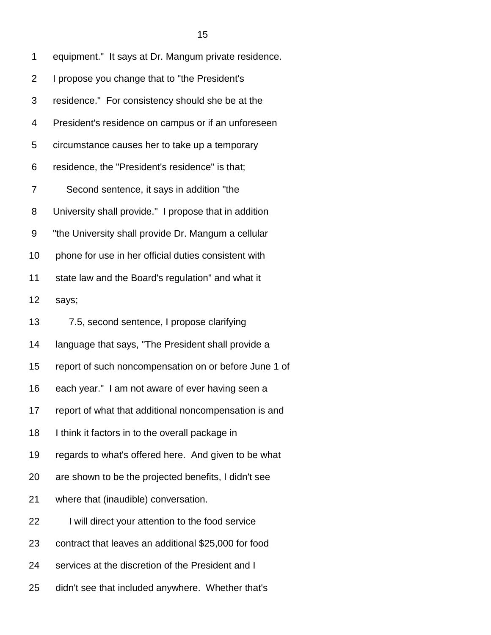| 1  | equipment." It says at Dr. Mangum private residence.  |
|----|-------------------------------------------------------|
| 2  | I propose you change that to "the President's         |
| 3  | residence." For consistency should she be at the      |
| 4  | President's residence on campus or if an unforeseen   |
| 5  | circumstance causes her to take up a temporary        |
| 6  | residence, the "President's residence" is that;       |
| 7  | Second sentence, it says in addition "the             |
| 8  | University shall provide." I propose that in addition |
| 9  | "the University shall provide Dr. Mangum a cellular   |
| 10 | phone for use in her official duties consistent with  |
| 11 | state law and the Board's regulation" and what it     |
| 12 | says;                                                 |
| 13 | 7.5, second sentence, I propose clarifying            |
| 14 | language that says, "The President shall provide a    |
| 15 | report of such noncompensation on or before June 1 of |
| 16 | each year." I am not aware of ever having seen a      |
| 17 | report of what that additional noncompensation is and |
| 18 | I think it factors in to the overall package in       |
| 19 | regards to what's offered here. And given to be what  |
| 20 | are shown to be the projected benefits, I didn't see  |
| 21 | where that (inaudible) conversation.                  |
| 22 | I will direct your attention to the food service      |
| 23 | contract that leaves an additional \$25,000 for food  |
| 24 | services at the discretion of the President and I     |

25 didn't see that included anywhere. Whether that's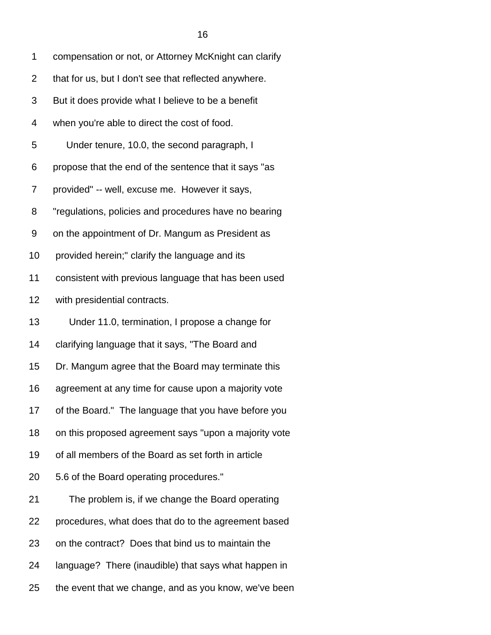| compensation or not, or Attorney McKnight can clarify |
|-------------------------------------------------------|
|                                                       |

- 2 that for us, but I don't see that reflected anywhere.
- 3 But it does provide what I believe to be a benefit
- 4 when you're able to direct the cost of food.
- 5 Under tenure, 10.0, the second paragraph, I

6 propose that the end of the sentence that it says "as

7 provided" -- well, excuse me. However it says,

8 "regulations, policies and procedures have no bearing

9 on the appointment of Dr. Mangum as President as

10 provided herein;" clarify the language and its

11 consistent with previous language that has been used

12 with presidential contracts.

13 Under 11.0, termination, I propose a change for

14 clarifying language that it says, "The Board and

15 Dr. Mangum agree that the Board may terminate this

16 agreement at any time for cause upon a majority vote

- 17 of the Board." The language that you have before you
- 18 on this proposed agreement says "upon a majority vote
- 19 of all members of the Board as set forth in article
- 20 5.6 of the Board operating procedures."

| 21 | The problem is, if we change the Board operating      |
|----|-------------------------------------------------------|
| 22 | procedures, what does that do to the agreement based  |
| 23 | on the contract? Does that bind us to maintain the    |
| 24 | language? There (inaudible) that says what happen in  |
| 25 | the event that we change, and as you know, we've been |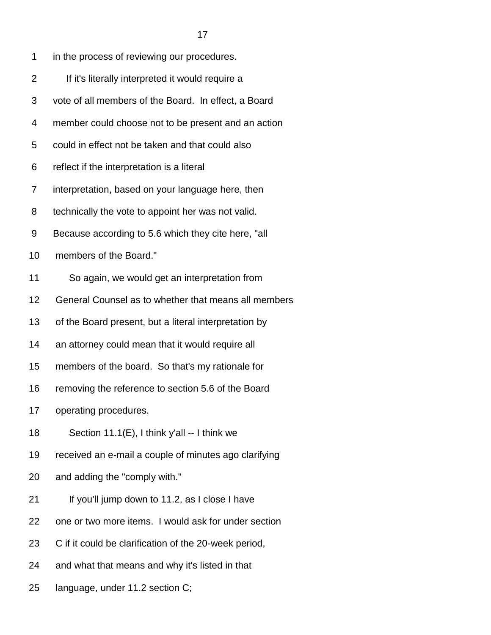| 1              | in the process of reviewing our procedures.           |
|----------------|-------------------------------------------------------|
| $\overline{2}$ | If it's literally interpreted it would require a      |
| 3              | vote of all members of the Board. In effect, a Board  |
| 4              | member could choose not to be present and an action   |
| 5              | could in effect not be taken and that could also      |
| 6              | reflect if the interpretation is a literal            |
| 7              | interpretation, based on your language here, then     |
| 8              | technically the vote to appoint her was not valid.    |
| 9              | Because according to 5.6 which they cite here, "all   |
| 10             | members of the Board."                                |
| 11             | So again, we would get an interpretation from         |
| 12             | General Counsel as to whether that means all members  |
| 13             | of the Board present, but a literal interpretation by |
| 14             | an attorney could mean that it would require all      |
| 15             | members of the board. So that's my rationale for      |
| 16             | removing the reference to section 5.6 of the Board    |
| 17             | operating procedures.                                 |
| 18             | Section 11.1(E), I think y'all -- I think we          |
| 19             | received an e-mail a couple of minutes ago clarifying |
| 20             | and adding the "comply with."                         |
| 21             | If you'll jump down to 11.2, as I close I have        |
| 22             | one or two more items. I would ask for under section  |
| 23             | C if it could be clarification of the 20-week period, |

24 and what that means and why it's listed in that

25 language, under 11.2 section C;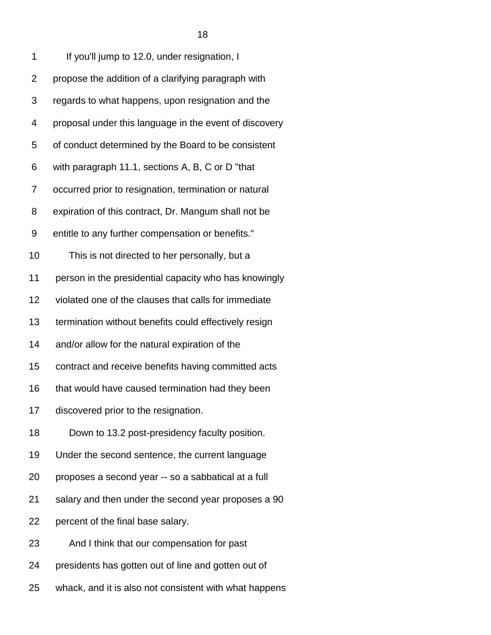| 1              | If you'll jump to 12.0, under resignation, I           |
|----------------|--------------------------------------------------------|
| $\overline{2}$ | propose the addition of a clarifying paragraph with    |
| 3              | regards to what happens, upon resignation and the      |
| 4              | proposal under this language in the event of discovery |
| 5              | of conduct determined by the Board to be consistent    |
| 6              | with paragraph 11.1, sections A, B, C or D "that       |
| 7              | occurred prior to resignation, termination or natural  |
| 8              | expiration of this contract, Dr. Mangum shall not be   |
| 9              | entitle to any further compensation or benefits."      |
| 10             | This is not directed to her personally, but a          |
| 11             | person in the presidential capacity who has knowingly  |
| 12             | violated one of the clauses that calls for immediate   |
| 13             | termination without benefits could effectively resign  |
| 14             | and/or allow for the natural expiration of the         |
| 15             | contract and receive benefits having committed acts    |
| 16             | that would have caused termination had they been       |
| 17             | discovered prior to the resignation.                   |
| 18             | Down to 13.2 post-presidency faculty position.         |
| 19             | Under the second sentence, the current language        |
| 20             | proposes a second year -- so a sabbatical at a full    |
| 21             | salary and then under the second year proposes a 90    |
| 22             | percent of the final base salary.                      |
| 23             | And I think that our compensation for past             |
| 24             | presidents has gotten out of line and gotten out of    |
| 25             | whack, and it is also not consistent with what happens |

ta a 18 an t-Imrìogadh ann an 18 an t-Imrìogadh an t-Imrìogadh an t-Imrìogadh an t-Imrìogadh an t-Imrìogadh an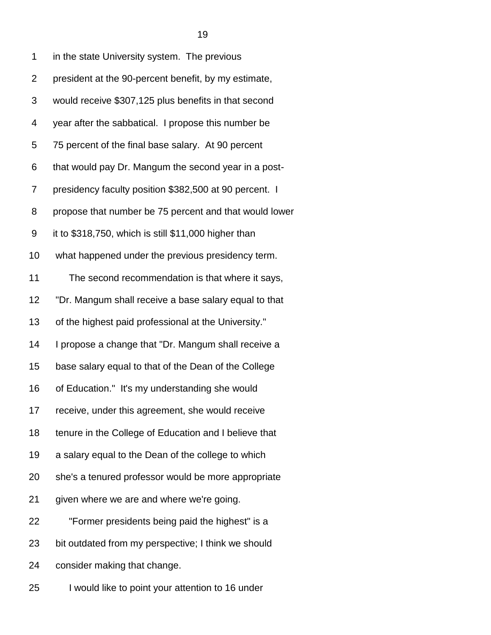| 1              | in the state University system. The previous           |
|----------------|--------------------------------------------------------|
| $\overline{2}$ | president at the 90-percent benefit, by my estimate,   |
| 3              | would receive \$307,125 plus benefits in that second   |
| 4              | year after the sabbatical. I propose this number be    |
| 5              | 75 percent of the final base salary. At 90 percent     |
| 6              | that would pay Dr. Mangum the second year in a post-   |
| 7              | presidency faculty position \$382,500 at 90 percent. I |
| 8              | propose that number be 75 percent and that would lower |
| 9              | it to \$318,750, which is still \$11,000 higher than   |
| 10             | what happened under the previous presidency term.      |
| 11             | The second recommendation is that where it says,       |
| 12             | "Dr. Mangum shall receive a base salary equal to that  |
| 13             | of the highest paid professional at the University."   |
| 14             | I propose a change that "Dr. Mangum shall receive a    |
| 15             | base salary equal to that of the Dean of the College   |
| 16             | of Education." It's my understanding she would         |
| 17             | receive, under this agreement, she would receive       |
| 18             | tenure in the College of Education and I believe that  |
| 19             | a salary equal to the Dean of the college to which     |
| 20             | she's a tenured professor would be more appropriate    |
| 21             | given where we are and where we're going.              |
| 22             | "Former presidents being paid the highest" is a        |
| 23             | bit outdated from my perspective; I think we should    |
| 24             | consider making that change.                           |
| 25             | I would like to point your attention to 16 under       |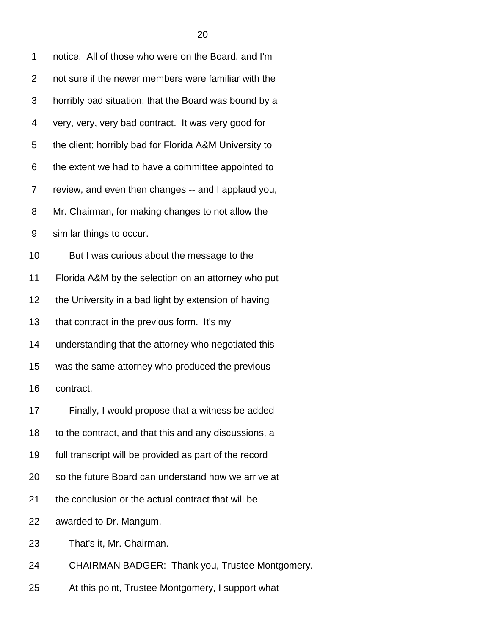| 1              | notice. All of those who were on the Board, and I'm    |
|----------------|--------------------------------------------------------|
| $\overline{2}$ | not sure if the newer members were familiar with the   |
| 3              | horribly bad situation; that the Board was bound by a  |
| 4              | very, very, very bad contract. It was very good for    |
| 5              | the client; horribly bad for Florida A&M University to |
| 6              | the extent we had to have a committee appointed to     |
| 7              | review, and even then changes -- and I applaud you,    |
| 8              | Mr. Chairman, for making changes to not allow the      |
| 9              | similar things to occur.                               |
| 10             | But I was curious about the message to the             |
| 11             | Florida A&M by the selection on an attorney who put    |
| 12             | the University in a bad light by extension of having   |
| 13             | that contract in the previous form. It's my            |
| 14             | understanding that the attorney who negotiated this    |
| 15             | was the same attorney who produced the previous        |
| 16             | contract.                                              |
| 17             | Finally, I would propose that a witness be added       |
| 18             | to the contract, and that this and any discussions, a  |
| 19             | full transcript will be provided as part of the record |
| 20             | so the future Board can understand how we arrive at    |
| 21             | the conclusion or the actual contract that will be     |
| 22             | awarded to Dr. Mangum.                                 |
| 23             | That's it, Mr. Chairman.                               |
| 24             | CHAIRMAN BADGER: Thank you, Trustee Montgomery.        |

25 At this point, Trustee Montgomery, I support what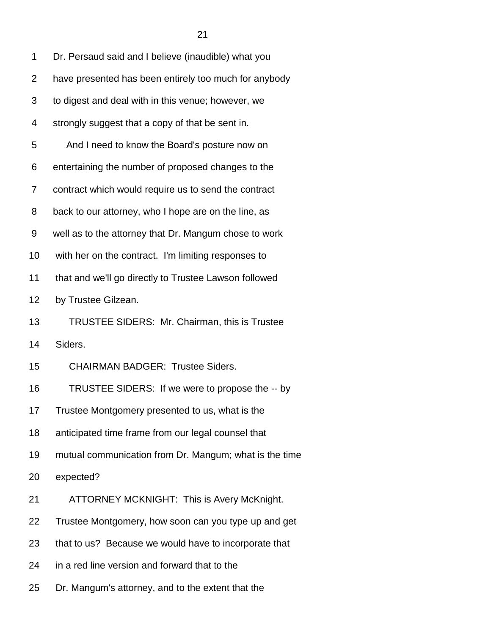| 1              | Dr. Persaud said and I believe (inaudible) what you    |
|----------------|--------------------------------------------------------|
| $\overline{2}$ | have presented has been entirely too much for anybody  |
| 3              | to digest and deal with in this venue; however, we     |
| 4              | strongly suggest that a copy of that be sent in.       |
| 5              | And I need to know the Board's posture now on          |
| 6              | entertaining the number of proposed changes to the     |
| 7              | contract which would require us to send the contract   |
| 8              | back to our attorney, who I hope are on the line, as   |
| 9              | well as to the attorney that Dr. Mangum chose to work  |
| 10             | with her on the contract. I'm limiting responses to    |
| 11             | that and we'll go directly to Trustee Lawson followed  |
| 12             | by Trustee Gilzean.                                    |
| 13             | TRUSTEE SIDERS: Mr. Chairman, this is Trustee          |
| 14             | Siders.                                                |
| 15             | <b>CHAIRMAN BADGER: Trustee Siders.</b>                |
| 16             | TRUSTEE SIDERS: If we were to propose the -- by        |
| 17             | Trustee Montgomery presented to us, what is the        |
| 18             | anticipated time frame from our legal counsel that     |
| 19             | mutual communication from Dr. Mangum; what is the time |
| 20             | expected?                                              |
| 21             | ATTORNEY MCKNIGHT: This is Avery McKnight.             |
| 22             | Trustee Montgomery, how soon can you type up and get   |
| 23             | that to us? Because we would have to incorporate that  |
| 24             | in a red line version and forward that to the          |
| 25             | Dr. Mangum's attorney, and to the extent that the      |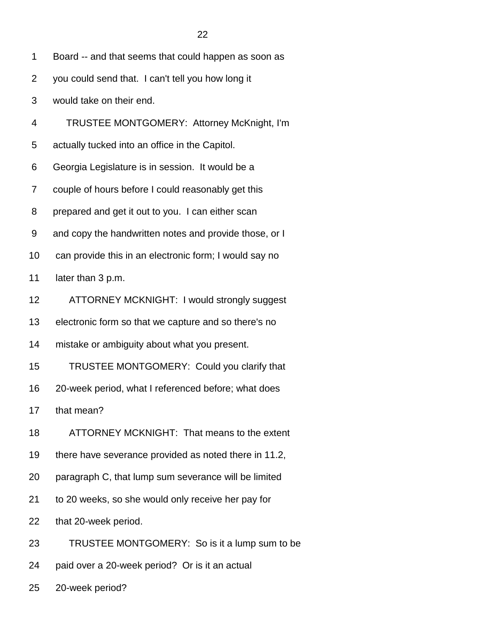1 Board -- and that seems that could happen as soon as

- 2 you could send that. I can't tell you how long it
- 3 would take on their end.
- 4 TRUSTEE MONTGOMERY: Attorney McKnight, I'm
- 5 actually tucked into an office in the Capitol.
- 6 Georgia Legislature is in session. It would be a
- 7 couple of hours before I could reasonably get this
- 8 prepared and get it out to you. I can either scan
- 9 and copy the handwritten notes and provide those, or I
- 10 can provide this in an electronic form; I would say no
- 11 later than 3 p.m.
- 12 ATTORNEY MCKNIGHT: I would strongly suggest
- 13 electronic form so that we capture and so there's no
- 14 mistake or ambiguity about what you present.
- 15 TRUSTEE MONTGOMERY: Could you clarify that
- 16 20-week period, what I referenced before; what does
- 17 that mean?
- 18 ATTORNEY MCKNIGHT: That means to the extent
- 19 there have severance provided as noted there in 11.2,
- 20 paragraph C, that lump sum severance will be limited
- 21 to 20 weeks, so she would only receive her pay for
- 22 that 20-week period.
- 23 TRUSTEE MONTGOMERY: So is it a lump sum to be
- 24 paid over a 20-week period? Or is it an actual
- 25 20-week period?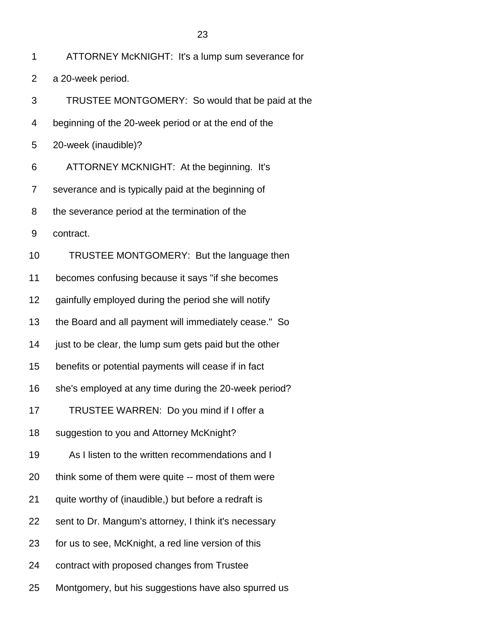- 2 a 20-week period.
- 3 TRUSTEE MONTGOMERY: So would that be paid at the
- 4 beginning of the 20-week period or at the end of the
- 5 20-week (inaudible)?
- 6 ATTORNEY MCKNIGHT: At the beginning. It's
- 7 severance and is typically paid at the beginning of
- 8 the severance period at the termination of the
- 9 contract.
- 10 TRUSTEE MONTGOMERY: But the language then
- 11 becomes confusing because it says "if she becomes
- 12 gainfully employed during the period she will notify
- 13 the Board and all payment will immediately cease." So
- 14 just to be clear, the lump sum gets paid but the other
- 15 benefits or potential payments will cease if in fact
- 16 she's employed at any time during the 20-week period?
- 17 TRUSTEE WARREN: Do you mind if I offer a
- 18 suggestion to you and Attorney McKnight?
- 19 As I listen to the written recommendations and I
- 20 think some of them were quite -- most of them were
- 21 quite worthy of (inaudible,) but before a redraft is
- 22 sent to Dr. Mangum's attorney, I think it's necessary
- 23 for us to see, McKnight, a red line version of this
- 24 contract with proposed changes from Trustee
- 25 Montgomery, but his suggestions have also spurred us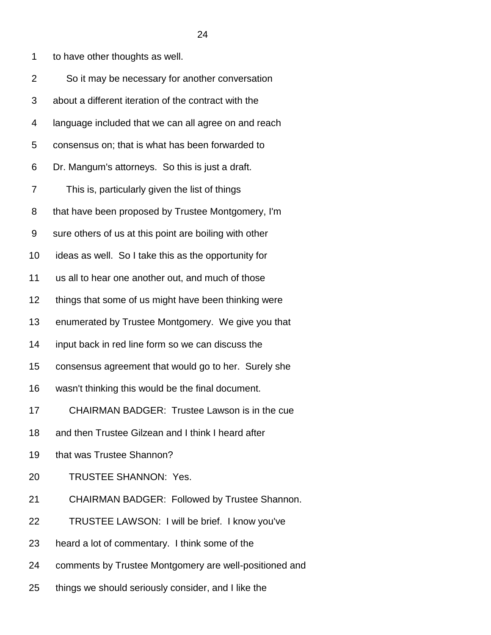1 to have other thoughts as well.

| $\overline{2}$ | So it may be necessary for another conversation        |
|----------------|--------------------------------------------------------|
| 3              | about a different iteration of the contract with the   |
| 4              | language included that we can all agree on and reach   |
| 5              | consensus on; that is what has been forwarded to       |
| 6              | Dr. Mangum's attorneys. So this is just a draft.       |
| 7              | This is, particularly given the list of things         |
| 8              | that have been proposed by Trustee Montgomery, I'm     |
| 9              | sure others of us at this point are boiling with other |
| 10             | ideas as well. So I take this as the opportunity for   |
| 11             | us all to hear one another out, and much of those      |
| 12             | things that some of us might have been thinking were   |
| 13             | enumerated by Trustee Montgomery. We give you that     |
| 14             | input back in red line form so we can discuss the      |
| 15             | consensus agreement that would go to her. Surely she   |
| 16             | wasn't thinking this would be the final document.      |
| 17             | CHAIRMAN BADGER: Trustee Lawson is in the cue          |
| 18             | and then Trustee Gilzean and I think I heard after     |
| 19             | that was Trustee Shannon?                              |
| 20             | TRUSTEE SHANNON: Yes.                                  |
| 21             | CHAIRMAN BADGER: Followed by Trustee Shannon.          |
| 22             | TRUSTEE LAWSON: I will be brief. I know you've         |
| 23             | heard a lot of commentary. I think some of the         |
| 24             | comments by Trustee Montgomery are well-positioned and |
| 25             | things we should seriously consider, and I like the    |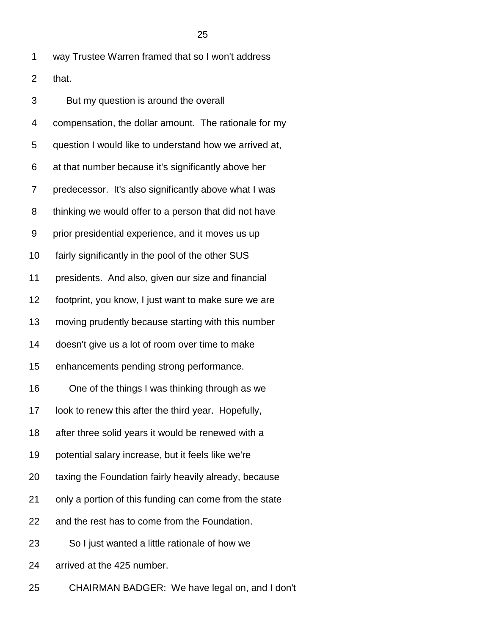| $\overline{2}$ | that.                                                  |
|----------------|--------------------------------------------------------|
| 3              | But my question is around the overall                  |
| 4              | compensation, the dollar amount. The rationale for my  |
| 5              | question I would like to understand how we arrived at, |
| 6              | at that number because it's significantly above her    |
| 7              | predecessor. It's also significantly above what I was  |
| 8              | thinking we would offer to a person that did not have  |
| 9              | prior presidential experience, and it moves us up      |
| 10             | fairly significantly in the pool of the other SUS      |
| 11             | presidents. And also, given our size and financial     |
| 12             | footprint, you know, I just want to make sure we are   |
| 13             | moving prudently because starting with this number     |
| 14             | doesn't give us a lot of room over time to make        |
| 15             | enhancements pending strong performance.               |
| 16             | One of the things I was thinking through as we         |
| 17             | look to renew this after the third year. Hopefully,    |
| 18             | after three solid years it would be renewed with a     |
| 19             | potential salary increase, but it feels like we're     |
| 20             | taxing the Foundation fairly heavily already, because  |
| 21             | only a portion of this funding can come from the state |
| 22             | and the rest has to come from the Foundation.          |
| 23             | So I just wanted a little rationale of how we          |

1 way Trustee Warren framed that so I won't address

24 arrived at the 425 number.

25 CHAIRMAN BADGER: We have legal on, and I don't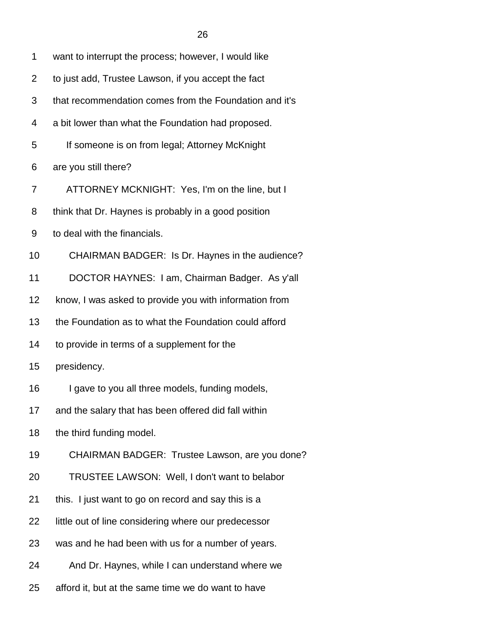| 1  | want to interrupt the process; however, I would like   |
|----|--------------------------------------------------------|
| 2  | to just add, Trustee Lawson, if you accept the fact    |
| 3  | that recommendation comes from the Foundation and it's |
| 4  | a bit lower than what the Foundation had proposed.     |
| 5  | If someone is on from legal; Attorney McKnight         |
| 6  | are you still there?                                   |
| 7  | ATTORNEY MCKNIGHT: Yes, I'm on the line, but I         |
| 8  | think that Dr. Haynes is probably in a good position   |
| 9  | to deal with the financials.                           |
| 10 | CHAIRMAN BADGER: Is Dr. Haynes in the audience?        |
| 11 | DOCTOR HAYNES: I am, Chairman Badger. As y'all         |
| 12 | know, I was asked to provide you with information from |
| 13 | the Foundation as to what the Foundation could afford  |
| 14 | to provide in terms of a supplement for the            |
| 15 | presidency.                                            |
| 16 | I gave to you all three models, funding models,        |
| 17 | and the salary that has been offered did fall within   |
| 18 | the third funding model.                               |
| 19 | CHAIRMAN BADGER: Trustee Lawson, are you done?         |
| 20 | TRUSTEE LAWSON: Well, I don't want to belabor          |
| 21 | this. I just want to go on record and say this is a    |
| 22 | little out of line considering where our predecessor   |
| 23 | was and he had been with us for a number of years.     |
| 24 | And Dr. Haynes, while I can understand where we        |
| 25 | afford it, but at the same time we do want to have     |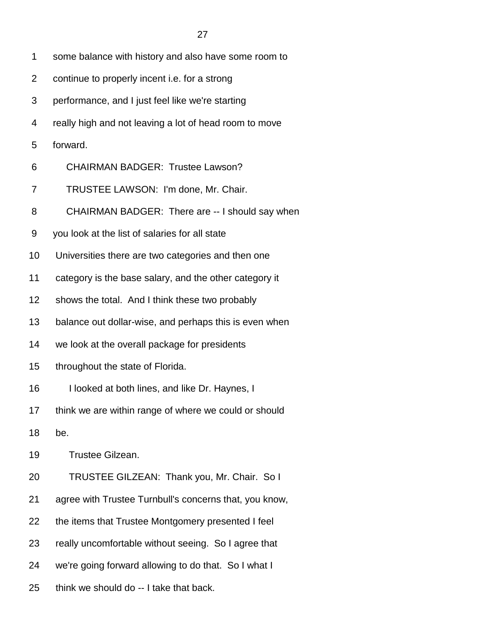- 1 some balance with history and also have some room to
- 2 continue to properly incent i.e. for a strong
- 3 performance, and I just feel like we're starting
- 4 really high and not leaving a lot of head room to move
- 5 forward.
- 6 CHAIRMAN BADGER: Trustee Lawson?
- 7 TRUSTEE LAWSON: I'm done, Mr. Chair.
- 8 CHAIRMAN BADGER: There are -- I should say when
- 9 you look at the list of salaries for all state
- 10 Universities there are two categories and then one
- 11 category is the base salary, and the other category it
- 12 shows the total. And I think these two probably
- 13 balance out dollar-wise, and perhaps this is even when
- 14 we look at the overall package for presidents
- 15 throughout the state of Florida.
- 16 I looked at both lines, and like Dr. Haynes, I
- 17 think we are within range of where we could or should
- 18 be.
- 19 Trustee Gilzean.
- 20 TRUSTEE GILZEAN: Thank you, Mr. Chair. So I
- 21 agree with Trustee Turnbull's concerns that, you know,
- 22 the items that Trustee Montgomery presented I feel
- 23 really uncomfortable without seeing. So I agree that
- 24 we're going forward allowing to do that. So I what I
- 25 think we should do -- I take that back.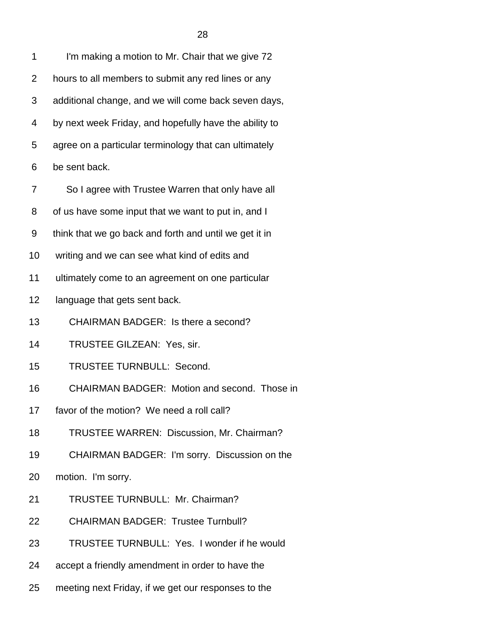| 1              | I'm making a motion to Mr. Chair that we give 72       |
|----------------|--------------------------------------------------------|
| $\overline{2}$ | hours to all members to submit any red lines or any    |
| 3              | additional change, and we will come back seven days,   |
| 4              | by next week Friday, and hopefully have the ability to |
| 5              | agree on a particular terminology that can ultimately  |
| 6              | be sent back.                                          |
| 7              | So I agree with Trustee Warren that only have all      |
| 8              | of us have some input that we want to put in, and I    |
| 9              | think that we go back and forth and until we get it in |
| 10             | writing and we can see what kind of edits and          |
| 11             | ultimately come to an agreement on one particular      |
| 12             | language that gets sent back.                          |
| 13             | CHAIRMAN BADGER: Is there a second?                    |
| 14             | TRUSTEE GILZEAN: Yes, sir.                             |
| 15             | <b>TRUSTEE TURNBULL: Second.</b>                       |
| 16             | CHAIRMAN BADGER: Motion and second. Those in           |
| 17             | favor of the motion? We need a roll call?              |
| 18             | TRUSTEE WARREN: Discussion, Mr. Chairman?              |
| 19             | CHAIRMAN BADGER: I'm sorry. Discussion on the          |
| 20             | motion. I'm sorry.                                     |
| 21             | TRUSTEE TURNBULL: Mr. Chairman?                        |
| 22             | <b>CHAIRMAN BADGER: Trustee Turnbull?</b>              |
| 23             | TRUSTEE TURNBULL: Yes. I wonder if he would            |
| 24             | accept a friendly amendment in order to have the       |

25 meeting next Friday, if we get our responses to the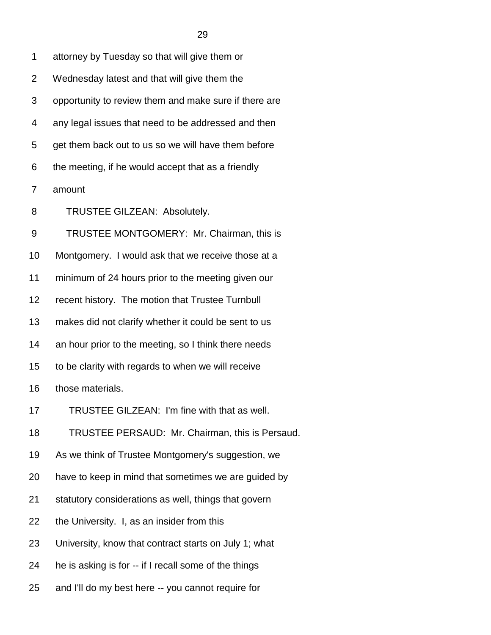| 1  | attorney by Tuesday so that will give them or         |
|----|-------------------------------------------------------|
| 2  | Wednesday latest and that will give them the          |
| 3  | opportunity to review them and make sure if there are |
| 4  | any legal issues that need to be addressed and then   |
| 5  | get them back out to us so we will have them before   |
| 6  | the meeting, if he would accept that as a friendly    |
| 7  | amount                                                |
| 8  | TRUSTEE GILZEAN: Absolutely.                          |
| 9  | TRUSTEE MONTGOMERY: Mr. Chairman, this is             |
| 10 | Montgomery. I would ask that we receive those at a    |
| 11 | minimum of 24 hours prior to the meeting given our    |
| 12 | recent history. The motion that Trustee Turnbull      |
| 13 | makes did not clarify whether it could be sent to us  |
| 14 | an hour prior to the meeting, so I think there needs  |
| 15 | to be clarity with regards to when we will receive    |
| 16 | those materials.                                      |
| 17 | TRUSTEE GILZEAN: I'm fine with that as well.          |
| 18 | TRUSTEE PERSAUD: Mr. Chairman, this is Persaud.       |
| 19 | As we think of Trustee Montgomery's suggestion, we    |
| 20 | have to keep in mind that sometimes we are guided by  |
| 21 | statutory considerations as well, things that govern  |
| 22 | the University. I, as an insider from this            |
| 23 | University, know that contract starts on July 1; what |
| 24 | he is asking is for -- if I recall some of the things |
| 25 | and I'll do my best here -- you cannot require for    |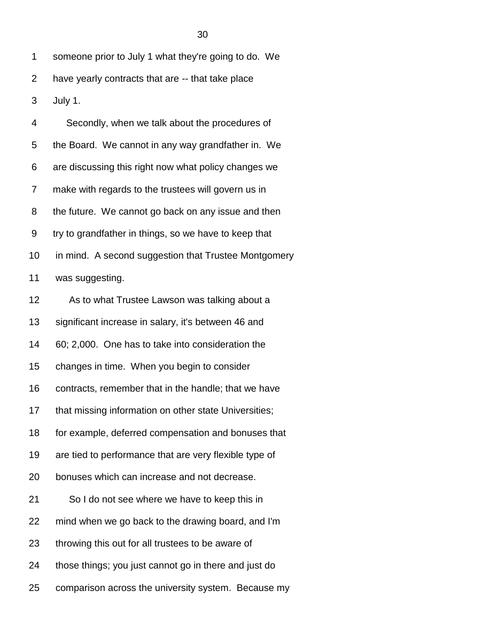3 July 1.

| 4  | Secondly, when we talk about the procedures of         |
|----|--------------------------------------------------------|
| 5  | the Board. We cannot in any way grandfather in. We     |
| 6  | are discussing this right now what policy changes we   |
| 7  | make with regards to the trustees will govern us in    |
| 8  | the future. We cannot go back on any issue and then    |
| 9  | try to grandfather in things, so we have to keep that  |
| 10 | in mind. A second suggestion that Trustee Montgomery   |
| 11 | was suggesting.                                        |
| 12 | As to what Trustee Lawson was talking about a          |
| 13 | significant increase in salary, it's between 46 and    |
| 14 | 60; 2,000. One has to take into consideration the      |
| 15 | changes in time. When you begin to consider            |
| 16 | contracts, remember that in the handle; that we have   |
| 17 | that missing information on other state Universities;  |
| 18 | for example, deferred compensation and bonuses that    |
| 19 | are tied to performance that are very flexible type of |
| 20 | bonuses which can increase and not decrease.           |
| 21 | So I do not see where we have to keep this in          |
| 22 | mind when we go back to the drawing board, and I'm     |
| 23 | throwing this out for all trustees to be aware of      |
| 24 | those things; you just cannot go in there and just do  |
| 25 | comparison across the university system. Because my    |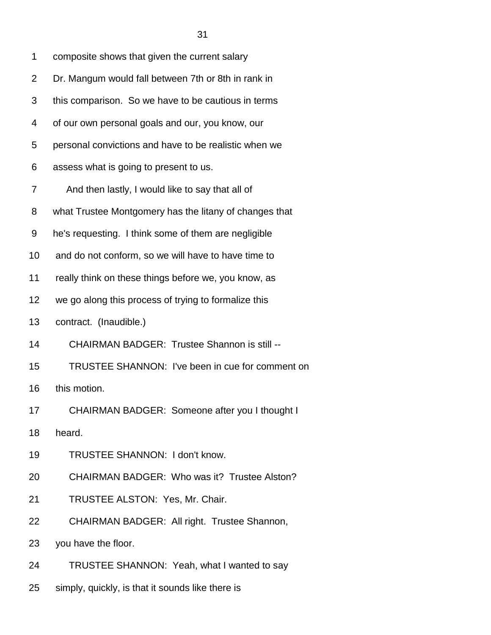| 1  | composite shows that given the current salary          |
|----|--------------------------------------------------------|
| 2  | Dr. Mangum would fall between 7th or 8th in rank in    |
| 3  | this comparison. So we have to be cautious in terms    |
| 4  | of our own personal goals and our, you know, our       |
| 5  | personal convictions and have to be realistic when we  |
| 6  | assess what is going to present to us.                 |
| 7  | And then lastly, I would like to say that all of       |
| 8  | what Trustee Montgomery has the litany of changes that |
| 9  | he's requesting. I think some of them are negligible   |
| 10 | and do not conform, so we will have to have time to    |
| 11 | really think on these things before we, you know, as   |
| 12 | we go along this process of trying to formalize this   |
| 13 | contract. (Inaudible.)                                 |
| 14 | <b>CHAIRMAN BADGER: Trustee Shannon is still --</b>    |
| 15 | TRUSTEE SHANNON: I've been in cue for comment on       |
| 16 | this motion.                                           |
| 17 | CHAIRMAN BADGER: Someone after you I thought I         |
| 18 | heard.                                                 |
| 19 | TRUSTEE SHANNON: I don't know.                         |
| 20 | CHAIRMAN BADGER: Who was it? Trustee Alston?           |
| 21 | TRUSTEE ALSTON: Yes, Mr. Chair.                        |
| 22 | CHAIRMAN BADGER: All right. Trustee Shannon,           |
| 23 | you have the floor.                                    |
| 24 | TRUSTEE SHANNON: Yeah, what I wanted to say            |
| 25 | simply, quickly, is that it sounds like there is       |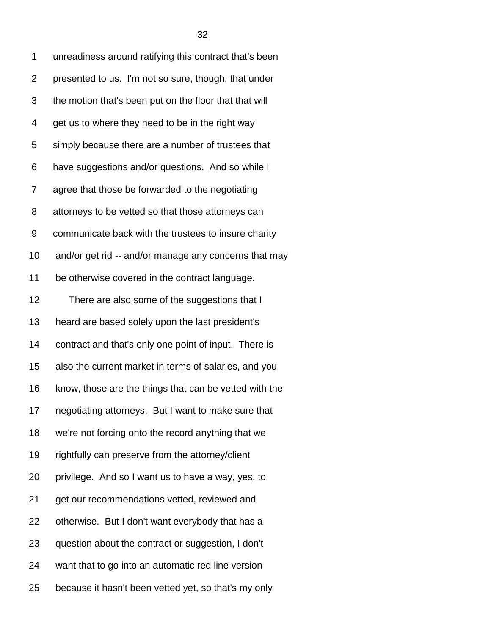| 1              | unreadiness around ratifying this contract that's been |
|----------------|--------------------------------------------------------|
| $\overline{2}$ | presented to us. I'm not so sure, though, that under   |
| 3              | the motion that's been put on the floor that that will |
| 4              | get us to where they need to be in the right way       |
| 5              | simply because there are a number of trustees that     |
| 6              | have suggestions and/or questions. And so while I      |
| 7              | agree that those be forwarded to the negotiating       |
| 8              | attorneys to be vetted so that those attorneys can     |
| 9              | communicate back with the trustees to insure charity   |
| 10             | and/or get rid -- and/or manage any concerns that may  |
| 11             | be otherwise covered in the contract language.         |
| 12             | There are also some of the suggestions that I          |
| 13             | heard are based solely upon the last president's       |
| 14             | contract and that's only one point of input. There is  |
| 15             | also the current market in terms of salaries, and you  |
| 16             | know, those are the things that can be vetted with the |
| 17             | negotiating attorneys. But I want to make sure that    |
| 18             | we're not forcing onto the record anything that we     |
| 19             | rightfully can preserve from the attorney/client       |
| 20             | privilege. And so I want us to have a way, yes, to     |
| 21             | get our recommendations vetted, reviewed and           |
| 22             | otherwise. But I don't want everybody that has a       |
| 23             | question about the contract or suggestion, I don't     |
| 24             | want that to go into an automatic red line version     |
| 25             | because it hasn't been vetted yet, so that's my only   |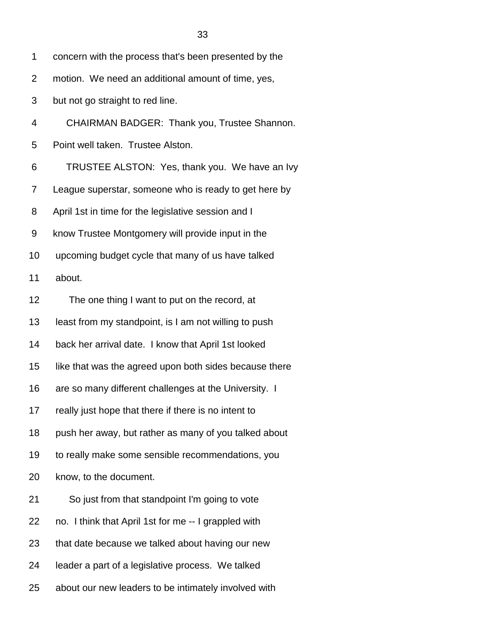1 concern with the process that's been presented by the

2 motion. We need an additional amount of time, yes,

3 but not go straight to red line.

4 CHAIRMAN BADGER: Thank you, Trustee Shannon.

5 Point well taken. Trustee Alston.

6 TRUSTEE ALSTON: Yes, thank you. We have an Ivy

7 League superstar, someone who is ready to get here by

8 April 1st in time for the legislative session and I

9 know Trustee Montgomery will provide input in the

10 upcoming budget cycle that many of us have talked

11 about.

12 The one thing I want to put on the record, at

13 least from my standpoint, is I am not willing to push

14 back her arrival date. I know that April 1st looked

15 like that was the agreed upon both sides because there

16 are so many different challenges at the University. I

17 really just hope that there if there is no intent to

18 push her away, but rather as many of you talked about

19 to really make some sensible recommendations, you

20 know, to the document.

- 21 So just from that standpoint I'm going to vote
- 22 no. I think that April 1st for me -- I grappled with
- 23 that date because we talked about having our new
- 24 leader a part of a legislative process. We talked

25 about our new leaders to be intimately involved with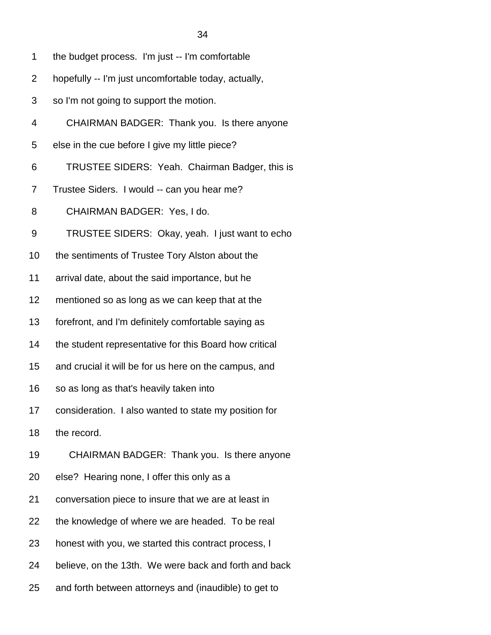- 1 the budget process. I'm just -- I'm comfortable
- 2 hopefully -- I'm just uncomfortable today, actually,
- 3 so I'm not going to support the motion.
- 4 CHAIRMAN BADGER: Thank you. Is there anyone
- 5 else in the cue before I give my little piece?
- 6 TRUSTEE SIDERS: Yeah. Chairman Badger, this is
- 7 Trustee Siders. I would -- can you hear me?
- 8 CHAIRMAN BADGER: Yes, I do.
- 9 TRUSTEE SIDERS: Okay, yeah. I just want to echo
- 10 the sentiments of Trustee Tory Alston about the
- 11 arrival date, about the said importance, but he
- 12 mentioned so as long as we can keep that at the
- 13 forefront, and I'm definitely comfortable saying as
- 14 the student representative for this Board how critical
- 15 and crucial it will be for us here on the campus, and
- 16 so as long as that's heavily taken into
- 17 consideration. I also wanted to state my position for
- 18 the record.
- 19 CHAIRMAN BADGER: Thank you. Is there anyone
- 20 else? Hearing none, I offer this only as a
- 21 conversation piece to insure that we are at least in
- 22 the knowledge of where we are headed. To be real
- 23 honest with you, we started this contract process, I
- 24 believe, on the 13th. We were back and forth and back
- 25 and forth between attorneys and (inaudible) to get to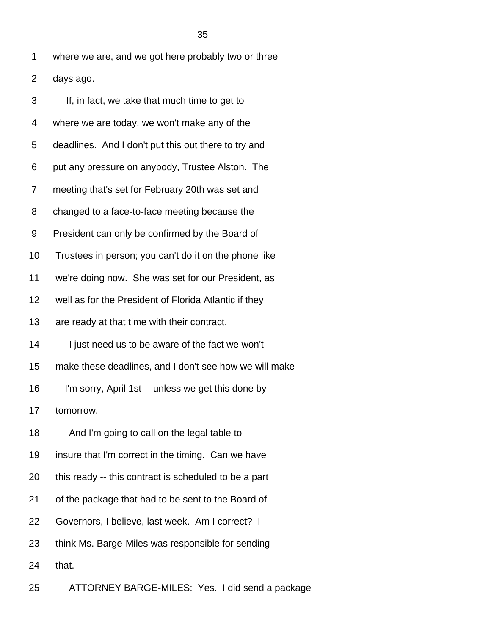1 where we are, and we got here probably two or three

2 days ago.

| 3  | If, in fact, we take that much time to get to          |
|----|--------------------------------------------------------|
| 4  | where we are today, we won't make any of the           |
| 5  | deadlines. And I don't put this out there to try and   |
| 6  | put any pressure on anybody, Trustee Alston. The       |
| 7  | meeting that's set for February 20th was set and       |
| 8  | changed to a face-to-face meeting because the          |
| 9  | President can only be confirmed by the Board of        |
| 10 | Trustees in person; you can't do it on the phone like  |
| 11 | we're doing now. She was set for our President, as     |
| 12 | well as for the President of Florida Atlantic if they  |
| 13 | are ready at that time with their contract.            |
| 14 | I just need us to be aware of the fact we won't        |
| 15 | make these deadlines, and I don't see how we will make |
| 16 | -- I'm sorry, April 1st -- unless we get this done by  |
| 17 | tomorrow.                                              |
| 18 | And I'm going to call on the legal table to            |
| 19 | insure that I'm correct in the timing. Can we have     |
| 20 | this ready -- this contract is scheduled to be a part  |
| 21 | of the package that had to be sent to the Board of     |
| 22 | Governors, I believe, last week. Am I correct? I       |
| 23 | think Ms. Barge-Miles was responsible for sending      |
| 24 | that.                                                  |
|    |                                                        |

25 ATTORNEY BARGE-MILES: Yes. I did send a package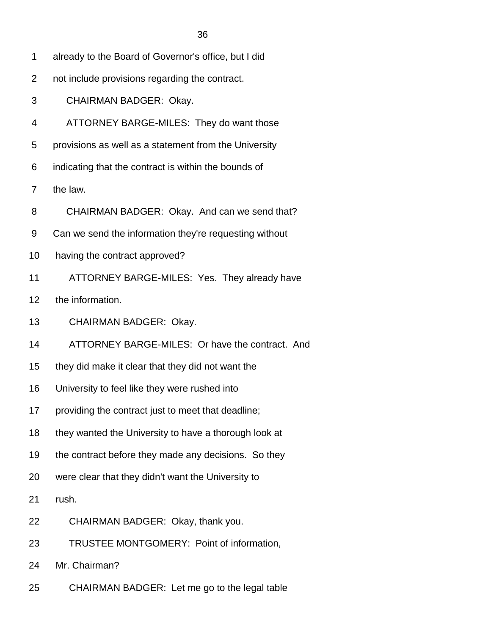- 1 already to the Board of Governor's office, but I did
- 2 not include provisions regarding the contract.
- 3 CHAIRMAN BADGER: Okay.
- 4 ATTORNEY BARGE-MILES: They do want those
- 5 provisions as well as a statement from the University
- 6 indicating that the contract is within the bounds of
- 7 the law.
- 8 CHAIRMAN BADGER: Okay. And can we send that?
- 9 Can we send the information they're requesting without
- 10 having the contract approved?
- 11 ATTORNEY BARGE-MILES: Yes. They already have
- 12 the information.
- 13 CHAIRMAN BADGER: Okay.
- 14 ATTORNEY BARGE-MILES: Or have the contract. And
- 15 they did make it clear that they did not want the
- 16 University to feel like they were rushed into
- 17 providing the contract just to meet that deadline;
- 18 they wanted the University to have a thorough look at
- 19 the contract before they made any decisions. So they
- 20 were clear that they didn't want the University to
- 21 rush.
- 22 CHAIRMAN BADGER: Okay, thank you.
- 23 TRUSTEE MONTGOMERY: Point of information,
- 24 Mr. Chairman?
- 25 CHAIRMAN BADGER: Let me go to the legal table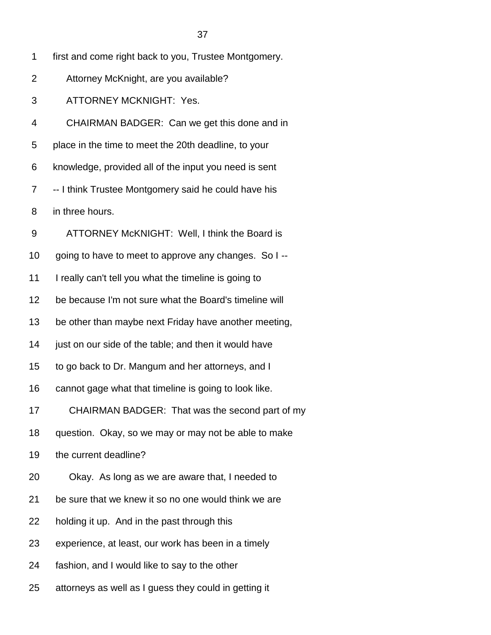| 1  | first and come right back to you, Trustee Montgomery.  |
|----|--------------------------------------------------------|
| 2  | Attorney McKnight, are you available?                  |
| 3  | <b>ATTORNEY MCKNIGHT: Yes.</b>                         |
| 4  | CHAIRMAN BADGER: Can we get this done and in           |
| 5  | place in the time to meet the 20th deadline, to your   |
| 6  | knowledge, provided all of the input you need is sent  |
| 7  | -- I think Trustee Montgomery said he could have his   |
| 8  | in three hours.                                        |
| 9  | ATTORNEY McKNIGHT: Well, I think the Board is          |
| 10 | going to have to meet to approve any changes. So I --  |
| 11 | I really can't tell you what the timeline is going to  |
| 12 | be because I'm not sure what the Board's timeline will |
| 13 | be other than maybe next Friday have another meeting,  |
| 14 | just on our side of the table; and then it would have  |
| 15 | to go back to Dr. Mangum and her attorneys, and I      |
| 16 | cannot gage what that timeline is going to look like.  |
| 17 | CHAIRMAN BADGER: That was the second part of my        |
| 18 | question. Okay, so we may or may not be able to make   |
| 19 | the current deadline?                                  |
| 20 | Okay. As long as we are aware that, I needed to        |
| 21 | be sure that we knew it so no one would think we are   |
| 22 | holding it up. And in the past through this            |
| 23 | experience, at least, our work has been in a timely    |
| 24 | fashion, and I would like to say to the other          |
| 25 | attorneys as well as I guess they could in getting it  |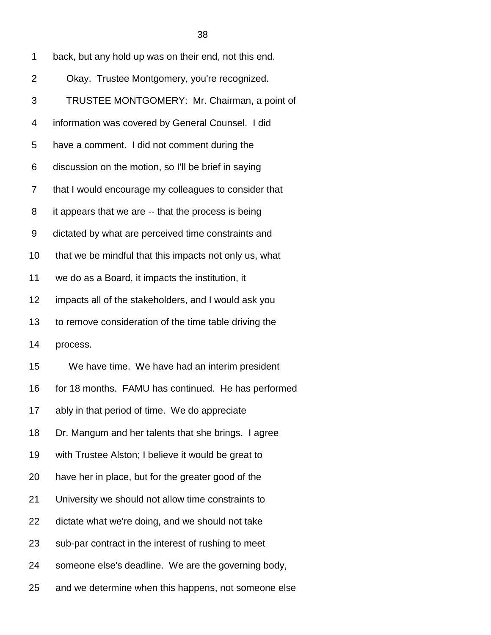| 1  | back, but any hold up was on their end, not this end.  |
|----|--------------------------------------------------------|
| 2  | Okay. Trustee Montgomery, you're recognized.           |
| 3  | TRUSTEE MONTGOMERY: Mr. Chairman, a point of           |
| 4  | information was covered by General Counsel. I did      |
| 5  | have a comment. I did not comment during the           |
| 6  | discussion on the motion, so I'll be brief in saying   |
| 7  | that I would encourage my colleagues to consider that  |
| 8  | it appears that we are -- that the process is being    |
| 9  | dictated by what are perceived time constraints and    |
| 10 | that we be mindful that this impacts not only us, what |
| 11 | we do as a Board, it impacts the institution, it       |
| 12 | impacts all of the stakeholders, and I would ask you   |
| 13 | to remove consideration of the time table driving the  |
| 14 | process.                                               |
| 15 | We have time. We have had an interim president         |
| 16 | for 18 months. FAMU has continued. He has performed    |
| 17 | ably in that period of time. We do appreciate          |
| 18 | Dr. Mangum and her talents that she brings. I agree    |
| 19 | with Trustee Alston; I believe it would be great to    |
| 20 | have her in place, but for the greater good of the     |
| 21 | University we should not allow time constraints to     |
| 22 | dictate what we're doing, and we should not take       |
| 23 | sub-par contract in the interest of rushing to meet    |
| 24 | someone else's deadline. We are the governing body,    |
| 25 | and we determine when this happens, not someone else   |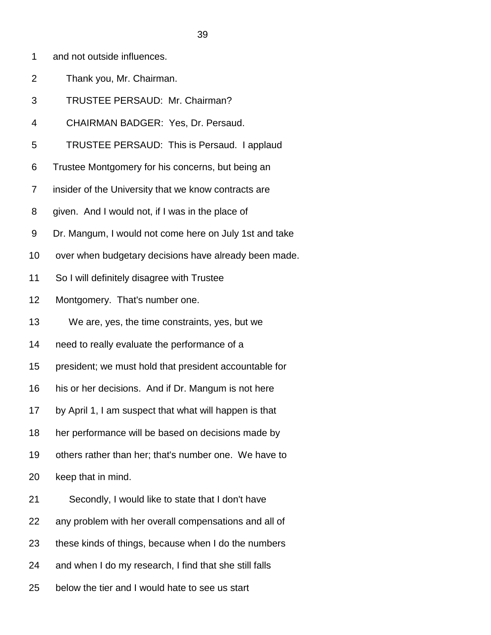- 1 and not outside influences.
- 2 Thank you, Mr. Chairman.
- 3 TRUSTEE PERSAUD: Mr. Chairman?
- 4 CHAIRMAN BADGER: Yes, Dr. Persaud.
- 5 TRUSTEE PERSAUD: This is Persaud. I applaud
- 6 Trustee Montgomery for his concerns, but being an
- 7 insider of the University that we know contracts are
- 8 given. And I would not, if I was in the place of
- 9 Dr. Mangum, I would not come here on July 1st and take
- 10 over when budgetary decisions have already been made.
- 11 So I will definitely disagree with Trustee
- 12 Montgomery. That's number one.
- 13 We are, yes, the time constraints, yes, but we
- 14 need to really evaluate the performance of a
- 15 president; we must hold that president accountable for
- 16 his or her decisions. And if Dr. Mangum is not here
- 17 by April 1, I am suspect that what will happen is that
- 18 her performance will be based on decisions made by
- 19 others rather than her; that's number one. We have to

20 keep that in mind.

- 21 Secondly, I would like to state that I don't have
- 22 any problem with her overall compensations and all of
- 23 these kinds of things, because when I do the numbers
- 24 and when I do my research, I find that she still falls
- 25 below the tier and I would hate to see us start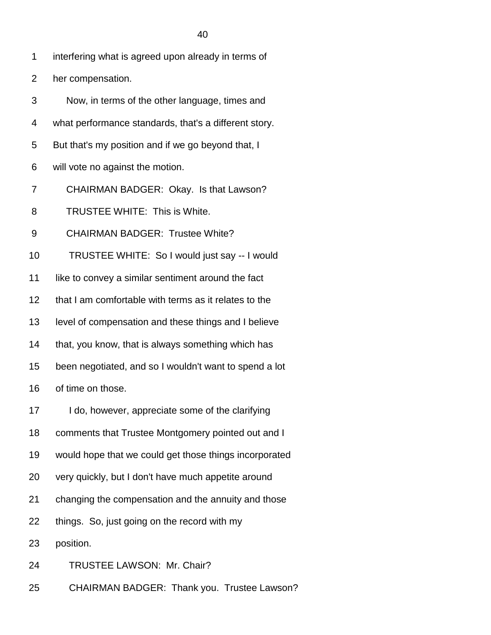- 2 her compensation.
- 3 Now, in terms of the other language, times and
- 4 what performance standards, that's a different story.
- 5 But that's my position and if we go beyond that, I
- 6 will vote no against the motion.
- 7 CHAIRMAN BADGER: Okay. Is that Lawson?
- 8 TRUSTEE WHITE: This is White.
- 9 CHAIRMAN BADGER: Trustee White?
- 10 TRUSTEE WHITE: So I would just say -- I would
- 11 like to convey a similar sentiment around the fact
- 12 that I am comfortable with terms as it relates to the
- 13 level of compensation and these things and I believe
- 14 that, you know, that is always something which has
- 15 been negotiated, and so I wouldn't want to spend a lot
- 16 of time on those.
- 17 I do, however, appreciate some of the clarifying
- 18 comments that Trustee Montgomery pointed out and I
- 19 would hope that we could get those things incorporated
- 20 very quickly, but I don't have much appetite around
- 21 changing the compensation and the annuity and those
- 22 things. So, just going on the record with my
- 23 position.
- 24 TRUSTEE LAWSON: Mr. Chair?
- 25 CHAIRMAN BADGER: Thank you. Trustee Lawson?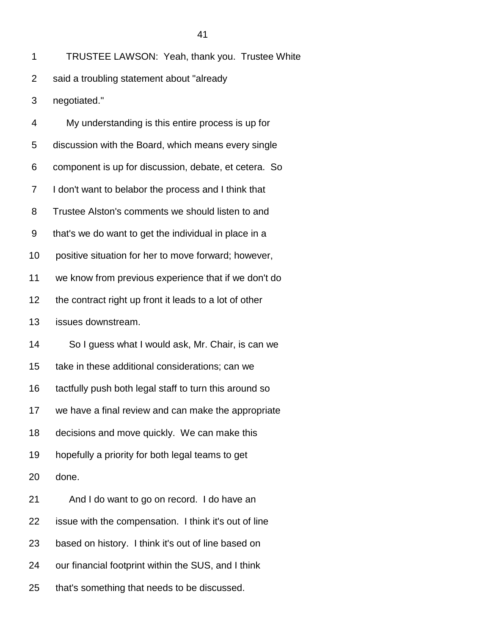| 1              | TRUSTEE LAWSON: Yeah, thank you. Trustee White         |
|----------------|--------------------------------------------------------|
| $\overline{2}$ | said a troubling statement about "already              |
| 3              | negotiated."                                           |
| 4              | My understanding is this entire process is up for      |
| 5              | discussion with the Board, which means every single    |
| 6              | component is up for discussion, debate, et cetera. So  |
| 7              | I don't want to belabor the process and I think that   |
| 8              | Trustee Alston's comments we should listen to and      |
| 9              | that's we do want to get the individual in place in a  |
| 10             | positive situation for her to move forward; however,   |
| 11             | we know from previous experience that if we don't do   |
| 12             | the contract right up front it leads to a lot of other |
| 13             | issues downstream.                                     |
| 14             | So I guess what I would ask, Mr. Chair, is can we      |
| 15             | take in these additional considerations; can we        |
| 16             | tactfully push both legal staff to turn this around so |
| 17             | we have a final review and can make the appropriate    |
| 18             | decisions and move quickly. We can make this           |
| 19             | hopefully a priority for both legal teams to get       |
| 20             | done.                                                  |
| 21             | And I do want to go on record. I do have an            |
| 22             | issue with the compensation. I think it's out of line  |
| 23             | based on history. I think it's out of line based on    |
| 24             | our financial footprint within the SUS, and I think    |
| 25             | that's something that needs to be discussed.           |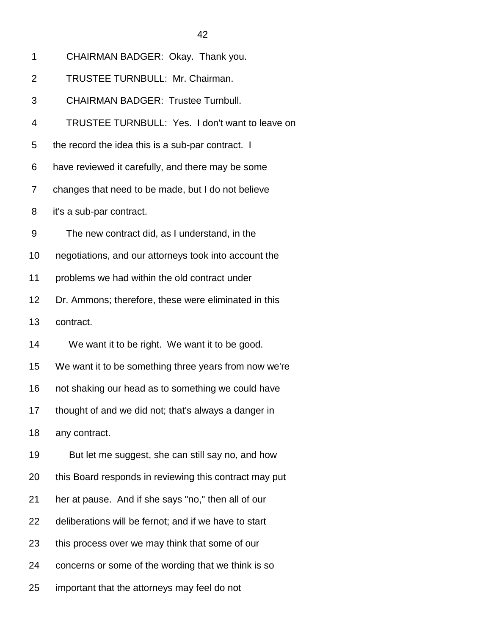3 CHAIRMAN BADGER: Trustee Turnbull.

4 TRUSTEE TURNBULL: Yes. I don't want to leave on

5 the record the idea this is a sub-par contract. I

6 have reviewed it carefully, and there may be some

7 changes that need to be made, but I do not believe

8 it's a sub-par contract.

9 The new contract did, as I understand, in the

10 negotiations, and our attorneys took into account the

11 problems we had within the old contract under

12 Dr. Ammons; therefore, these were eliminated in this

13 contract.

14 We want it to be right. We want it to be good.

15 We want it to be something three years from now we're

16 not shaking our head as to something we could have

17 thought of and we did not; that's always a danger in

18 any contract.

19 But let me suggest, she can still say no, and how

20 this Board responds in reviewing this contract may put

21 her at pause. And if she says "no," then all of our

22 deliberations will be fernot; and if we have to start

23 this process over we may think that some of our

24 concerns or some of the wording that we think is so

25 important that the attorneys may feel do not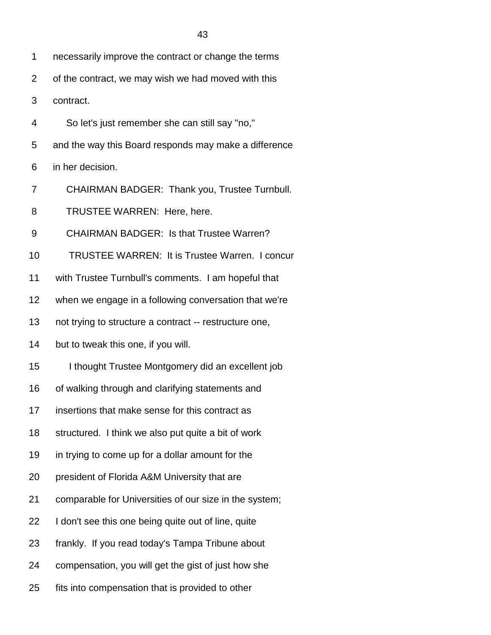1 necessarily improve the contract or change the terms

2 of the contract, we may wish we had moved with this

- 3 contract.
- 4 So let's just remember she can still say "no,"
- 5 and the way this Board responds may make a difference

6 in her decision.

- 7 CHAIRMAN BADGER: Thank you, Trustee Turnbull.
- 8 TRUSTEE WARREN: Here, here.

9 CHAIRMAN BADGER: Is that Trustee Warren?

10 TRUSTEE WARREN: It is Trustee Warren. I concur

11 with Trustee Turnbull's comments. I am hopeful that

- 12 when we engage in a following conversation that we're
- 13 not trying to structure a contract -- restructure one,

14 but to tweak this one, if you will.

- 15 I thought Trustee Montgomery did an excellent job
- 16 of walking through and clarifying statements and
- 17 insertions that make sense for this contract as
- 18 structured. I think we also put quite a bit of work
- 19 in trying to come up for a dollar amount for the
- 20 president of Florida A&M University that are
- 21 comparable for Universities of our size in the system;
- 22 I don't see this one being quite out of line, quite
- 23 frankly. If you read today's Tampa Tribune about
- 24 compensation, you will get the gist of just how she
- 25 fits into compensation that is provided to other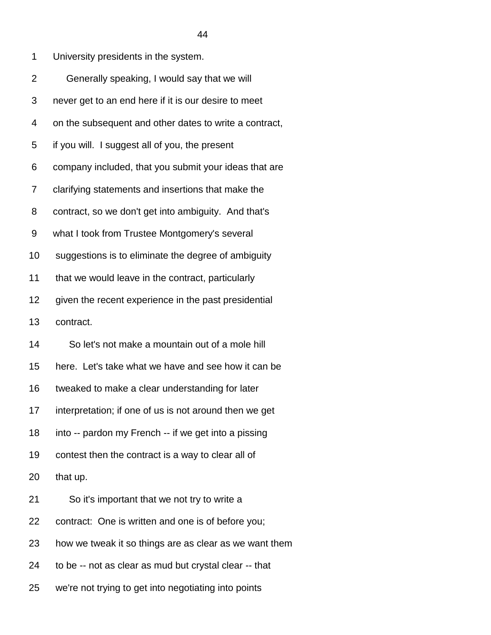| 1              | University presidents in the system.                   |
|----------------|--------------------------------------------------------|
| $\overline{2}$ | Generally speaking, I would say that we will           |
| 3              | never get to an end here if it is our desire to meet   |
| 4              | on the subsequent and other dates to write a contract, |
| 5              | if you will. I suggest all of you, the present         |
| 6              | company included, that you submit your ideas that are  |
| 7              | clarifying statements and insertions that make the     |
| 8              | contract, so we don't get into ambiguity. And that's   |
| 9              | what I took from Trustee Montgomery's several          |
| 10             | suggestions is to eliminate the degree of ambiguity    |
| 11             | that we would leave in the contract, particularly      |
| 12             | given the recent experience in the past presidential   |
| 13             | contract.                                              |
| 14             | So let's not make a mountain out of a mole hill        |
| 15             | here. Let's take what we have and see how it can be    |
| 16             | tweaked to make a clear understanding for later        |
| 17             | interpretation; if one of us is not around then we get |
| 18             | into -- pardon my French -- if we get into a pissing   |
| 19             | contest then the contract is a way to clear all of     |
| 20             | that up.                                               |
| 21             | So it's important that we not try to write a           |
| 22             | contract: One is written and one is of before you;     |
| 23             | how we tweak it so things are as clear as we want them |
| 24             | to be -- not as clear as mud but crystal clear -- that |
|                |                                                        |

25 we're not trying to get into negotiating into points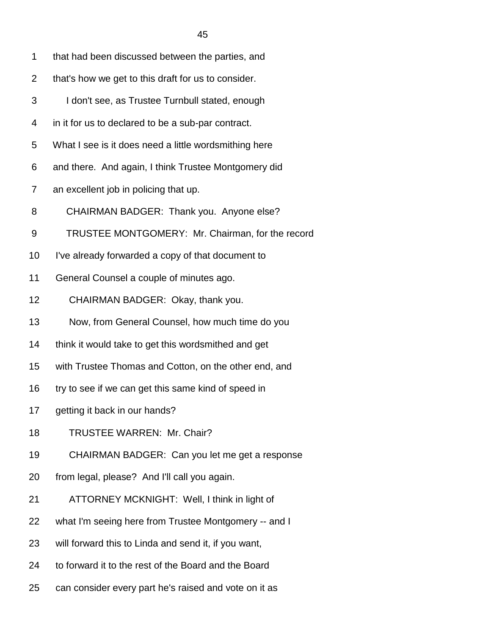- 2 that's how we get to this draft for us to consider.
- 3 I don't see, as Trustee Turnbull stated, enough
- 4 in it for us to declared to be a sub-par contract.
- 5 What I see is it does need a little wordsmithing here
- 6 and there. And again, I think Trustee Montgomery did
- 7 an excellent job in policing that up.
- 8 CHAIRMAN BADGER: Thank you. Anyone else?
- 9 TRUSTEE MONTGOMERY: Mr. Chairman, for the record
- 10 I've already forwarded a copy of that document to
- 11 General Counsel a couple of minutes ago.
- 12 CHAIRMAN BADGER: Okay, thank you.
- 13 Now, from General Counsel, how much time do you
- 14 think it would take to get this wordsmithed and get
- 15 with Trustee Thomas and Cotton, on the other end, and
- 16 try to see if we can get this same kind of speed in
- 17 getting it back in our hands?
- 18 TRUSTEE WARREN: Mr. Chair?
- 19 CHAIRMAN BADGER: Can you let me get a response
- 20 from legal, please? And I'll call you again.
- 21 ATTORNEY MCKNIGHT: Well, I think in light of
- 22 what I'm seeing here from Trustee Montgomery -- and I
- 23 will forward this to Linda and send it, if you want,
- 24 to forward it to the rest of the Board and the Board
- 25 can consider every part he's raised and vote on it as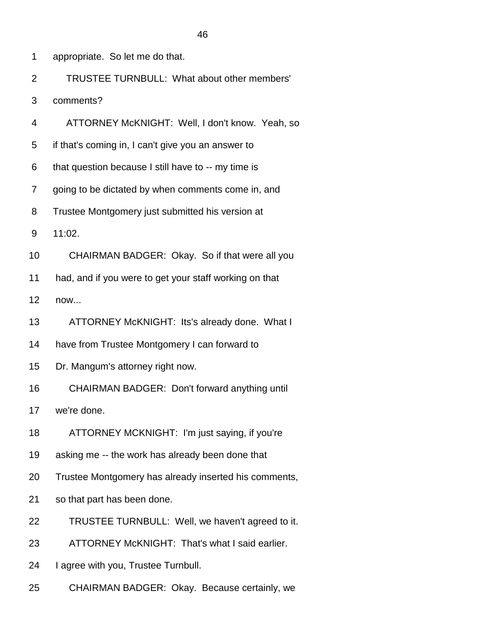2 TRUSTEE TURNBULL: What about other members'

3 comments?

- 4 ATTORNEY McKNIGHT: Well, I don't know. Yeah, so
- 5 if that's coming in, I can't give you an answer to
- 6 that question because I still have to -- my time is
- 7 going to be dictated by when comments come in, and
- 8 Trustee Montgomery just submitted his version at
- 9 11:02.
- 10 CHAIRMAN BADGER: Okay. So if that were all you
- 11 had, and if you were to get your staff working on that
- 12 now...
- 13 ATTORNEY McKNIGHT: Its's already done. What I
- 14 have from Trustee Montgomery I can forward to
- 15 Dr. Mangum's attorney right now.
- 16 CHAIRMAN BADGER: Don't forward anything until
- 17 we're done.
- 18 ATTORNEY MCKNIGHT: I'm just saying, if you're
- 19 asking me -- the work has already been done that
- 20 Trustee Montgomery has already inserted his comments,
- 21 so that part has been done.
- 22 TRUSTEE TURNBULL: Well, we haven't agreed to it.
- 23 ATTORNEY McKNIGHT: That's what I said earlier.
- 24 I agree with you, Trustee Turnbull.
- 25 CHAIRMAN BADGER: Okay. Because certainly, we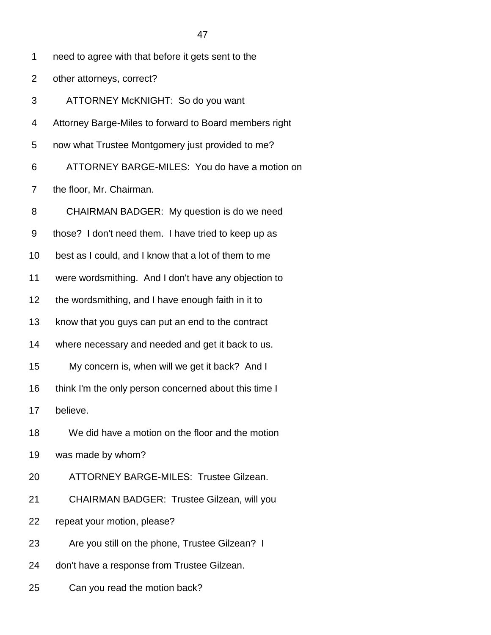- 2 other attorneys, correct?
- 3 ATTORNEY McKNIGHT: So do you want
- 4 Attorney Barge-Miles to forward to Board members right
- 5 now what Trustee Montgomery just provided to me?
- 6 ATTORNEY BARGE-MILES: You do have a motion on
- 7 the floor, Mr. Chairman.
- 8 CHAIRMAN BADGER: My question is do we need
- 9 those? I don't need them. I have tried to keep up as
- 10 best as I could, and I know that a lot of them to me
- 11 were wordsmithing. And I don't have any objection to
- 12 the wordsmithing, and I have enough faith in it to
- 13 know that you guys can put an end to the contract
- 14 where necessary and needed and get it back to us.
- 15 My concern is, when will we get it back? And I
- 16 think I'm the only person concerned about this time I
- 17 believe.
- 18 We did have a motion on the floor and the motion
- 19 was made by whom?
- 20 ATTORNEY BARGE-MILES: Trustee Gilzean.
- 21 CHAIRMAN BADGER: Trustee Gilzean, will you
- 22 repeat your motion, please?
- 23 Are you still on the phone, Trustee Gilzean? I
- 24 don't have a response from Trustee Gilzean.
- 25 Can you read the motion back?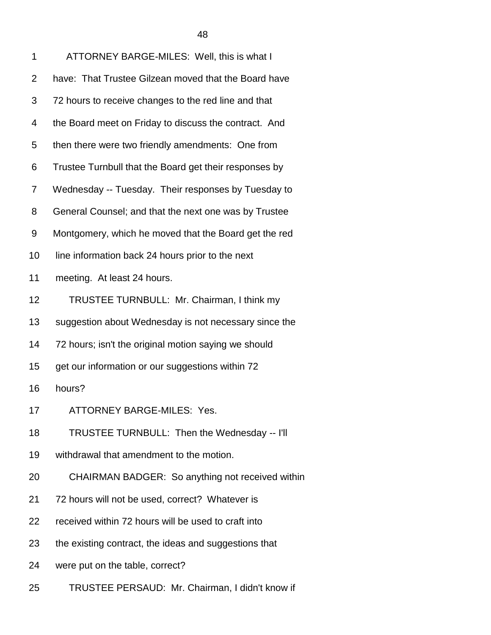| 1              | ATTORNEY BARGE-MILES: Well, this is what I             |
|----------------|--------------------------------------------------------|
| $\overline{2}$ | have: That Trustee Gilzean moved that the Board have   |
| 3              | 72 hours to receive changes to the red line and that   |
| 4              | the Board meet on Friday to discuss the contract. And  |
| 5              | then there were two friendly amendments: One from      |
| 6              | Trustee Turnbull that the Board get their responses by |
| 7              | Wednesday -- Tuesday. Their responses by Tuesday to    |
| 8              | General Counsel; and that the next one was by Trustee  |
| 9              | Montgomery, which he moved that the Board get the red  |
| 10             | line information back 24 hours prior to the next       |
| 11             | meeting. At least 24 hours.                            |
| 12             | TRUSTEE TURNBULL: Mr. Chairman, I think my             |
| 13             | suggestion about Wednesday is not necessary since the  |
| 14             | 72 hours; isn't the original motion saying we should   |
| 15             | get our information or our suggestions within 72       |
| 16             | hours?                                                 |
| 17             | ATTORNEY BARGE-MILES: Yes.                             |
| 18             | TRUSTEE TURNBULL: Then the Wednesday -- I'll           |
| 19             | withdrawal that amendment to the motion.               |
| 20             | CHAIRMAN BADGER: So anything not received within       |
| 21             | 72 hours will not be used, correct? Whatever is        |
| 22             | received within 72 hours will be used to craft into    |
| 23             | the existing contract, the ideas and suggestions that  |
| 24             | were put on the table, correct?                        |
|                |                                                        |

25 TRUSTEE PERSAUD: Mr. Chairman, I didn't know if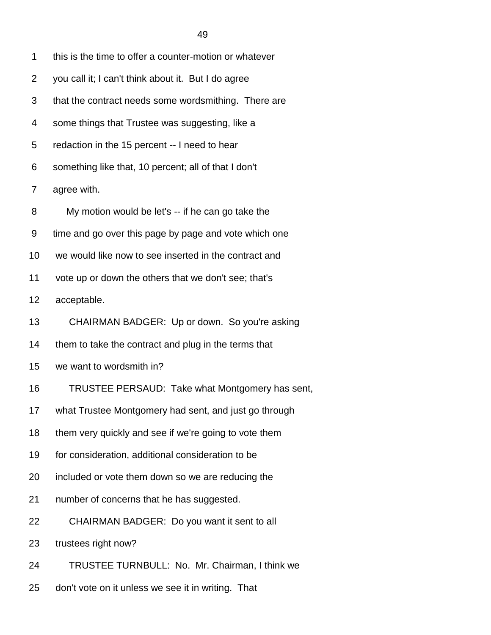| 1              | this is the time to offer a counter-motion or whatever |
|----------------|--------------------------------------------------------|
| $\overline{2}$ | you call it; I can't think about it. But I do agree    |
| 3              | that the contract needs some wordsmithing. There are   |
| 4              | some things that Trustee was suggesting, like a        |
| 5              | redaction in the 15 percent -- I need to hear          |
| 6              | something like that, 10 percent; all of that I don't   |
| 7              | agree with.                                            |
| 8              | My motion would be let's -- if he can go take the      |
| 9              | time and go over this page by page and vote which one  |
| 10             | we would like now to see inserted in the contract and  |
| 11             | vote up or down the others that we don't see; that's   |
| 12             | acceptable.                                            |
| 13             | CHAIRMAN BADGER: Up or down. So you're asking          |
| 14             | them to take the contract and plug in the terms that   |
| 15             | we want to wordsmith in?                               |
| 16             | TRUSTEE PERSAUD: Take what Montgomery has sent,        |
| 17             | what Trustee Montgomery had sent, and just go through  |
| 18             | them very quickly and see if we're going to vote them  |
| 19             | for consideration, additional consideration to be      |
| 20             | included or vote them down so we are reducing the      |
| 21             | number of concerns that he has suggested.              |
| 22             | CHAIRMAN BADGER: Do you want it sent to all            |
| 23             | trustees right now?                                    |
| 24             | TRUSTEE TURNBULL: No. Mr. Chairman, I think we         |
| 25             | don't vote on it unless we see it in writing. That     |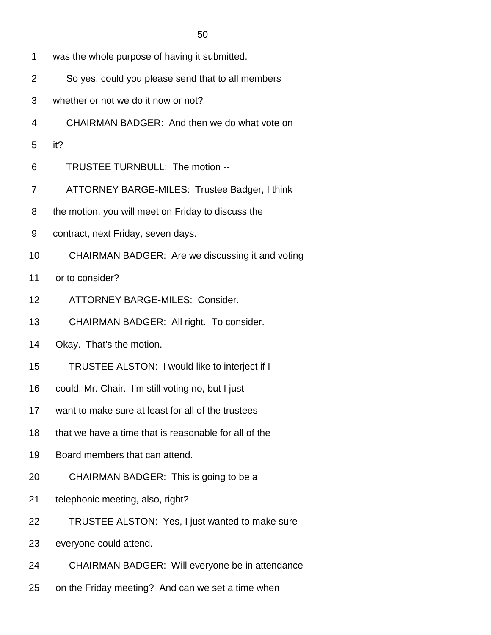- 1 was the whole purpose of having it submitted.
- 2 So yes, could you please send that to all members
- 3 whether or not we do it now or not?
- 4 CHAIRMAN BADGER: And then we do what vote on
- 5 it?
- 6 TRUSTEE TURNBULL: The motion --
- 7 ATTORNEY BARGE-MILES: Trustee Badger, I think
- 8 the motion, you will meet on Friday to discuss the
- 9 contract, next Friday, seven days.
- 10 CHAIRMAN BADGER: Are we discussing it and voting
- 11 or to consider?
- 12 ATTORNEY BARGE-MILES: Consider.
- 13 CHAIRMAN BADGER: All right. To consider.
- 14 Okay. That's the motion.
- 15 TRUSTEE ALSTON: I would like to interject if I
- 16 could, Mr. Chair. I'm still voting no, but I just
- 17 want to make sure at least for all of the trustees
- 18 that we have a time that is reasonable for all of the
- 19 Board members that can attend.
- 20 CHAIRMAN BADGER: This is going to be a
- 21 telephonic meeting, also, right?
- 22 TRUSTEE ALSTON: Yes, I just wanted to make sure
- 23 everyone could attend.
- 24 CHAIRMAN BADGER: Will everyone be in attendance
- 25 on the Friday meeting? And can we set a time when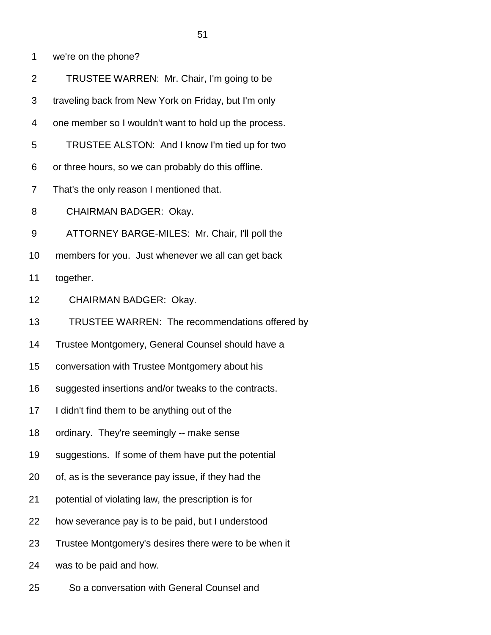1 we're on the phone?

- 2 TRUSTEE WARREN: Mr. Chair, I'm going to be
- 3 traveling back from New York on Friday, but I'm only
- 4 one member so I wouldn't want to hold up the process.
- 5 TRUSTEE ALSTON: And I know I'm tied up for two
- 6 or three hours, so we can probably do this offline.
- 7 That's the only reason I mentioned that.
- 8 CHAIRMAN BADGER: Okay.
- 9 ATTORNEY BARGE-MILES: Mr. Chair, I'll poll the
- 10 members for you. Just whenever we all can get back
- 11 together.
- 12 CHAIRMAN BADGER: Okay.
- 13 TRUSTEE WARREN: The recommendations offered by
- 14 Trustee Montgomery, General Counsel should have a
- 15 conversation with Trustee Montgomery about his
- 16 suggested insertions and/or tweaks to the contracts.
- 17 I didn't find them to be anything out of the
- 18 ordinary. They're seemingly -- make sense
- 19 suggestions. If some of them have put the potential
- 20 of, as is the severance pay issue, if they had the
- 21 potential of violating law, the prescription is for
- 22 how severance pay is to be paid, but I understood
- 23 Trustee Montgomery's desires there were to be when it
- 24 was to be paid and how.
- 25 So a conversation with General Counsel and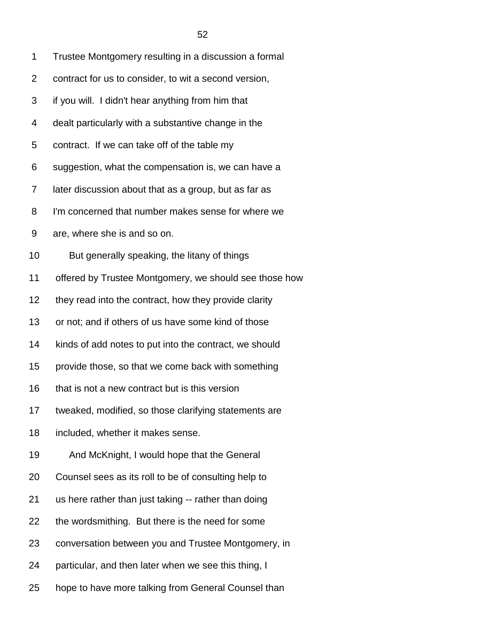| 1              | Trustee Montgomery resulting in a discussion a formal  |
|----------------|--------------------------------------------------------|
| $\overline{2}$ | contract for us to consider, to wit a second version,  |
| 3              | if you will. I didn't hear anything from him that      |
| 4              | dealt particularly with a substantive change in the    |
| 5              | contract. If we can take off of the table my           |
| 6              | suggestion, what the compensation is, we can have a    |
| 7              | later discussion about that as a group, but as far as  |
| 8              | I'm concerned that number makes sense for where we     |
| 9              | are, where she is and so on.                           |
| 10             | But generally speaking, the litany of things           |
| 11             | offered by Trustee Montgomery, we should see those how |
| 12             | they read into the contract, how they provide clarity  |
| 13             | or not; and if others of us have some kind of those    |
| 14             | kinds of add notes to put into the contract, we should |
| 15             | provide those, so that we come back with something     |
| 16             | that is not a new contract but is this version         |
| 17             | tweaked, modified, so those clarifying statements are  |
| 18             | included, whether it makes sense.                      |
| 19             | And McKnight, I would hope that the General            |
| 20             | Counsel sees as its roll to be of consulting help to   |
| 21             | us here rather than just taking -- rather than doing   |
| 22             | the wordsmithing. But there is the need for some       |
| 23             | conversation between you and Trustee Montgomery, in    |
| 24             | particular, and then later when we see this thing, I   |
| 25             | hope to have more talking from General Counsel than    |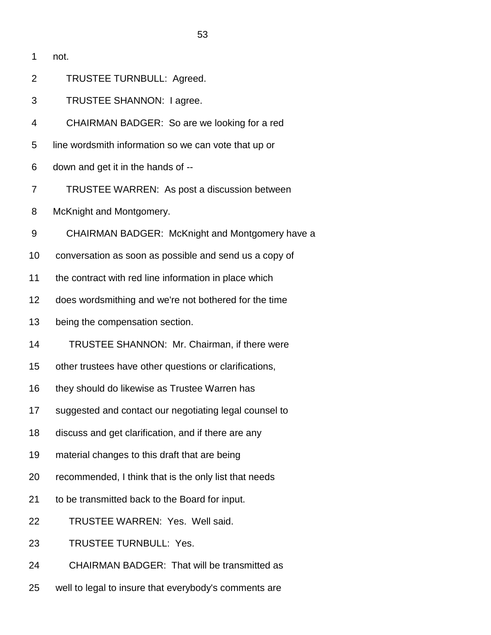2 TRUSTEE TURNBULL: Agreed.

3 TRUSTEE SHANNON: I agree.

4 CHAIRMAN BADGER: So are we looking for a red

5 line wordsmith information so we can vote that up or

6 down and get it in the hands of --

7 TRUSTEE WARREN: As post a discussion between

8 McKnight and Montgomery.

9 CHAIRMAN BADGER: McKnight and Montgomery have a

- 10 conversation as soon as possible and send us a copy of
- 11 the contract with red line information in place which
- 12 does wordsmithing and we're not bothered for the time
- 13 being the compensation section.
- 14 TRUSTEE SHANNON: Mr. Chairman, if there were
- 15 other trustees have other questions or clarifications,
- 16 they should do likewise as Trustee Warren has
- 17 suggested and contact our negotiating legal counsel to
- 18 discuss and get clarification, and if there are any
- 19 material changes to this draft that are being
- 20 recommended, I think that is the only list that needs
- 21 to be transmitted back to the Board for input.
- 22 TRUSTEE WARREN: Yes. Well said.
- 23 TRUSTEE TURNBULL: Yes.
- 24 CHAIRMAN BADGER: That will be transmitted as
- 25 well to legal to insure that everybody's comments are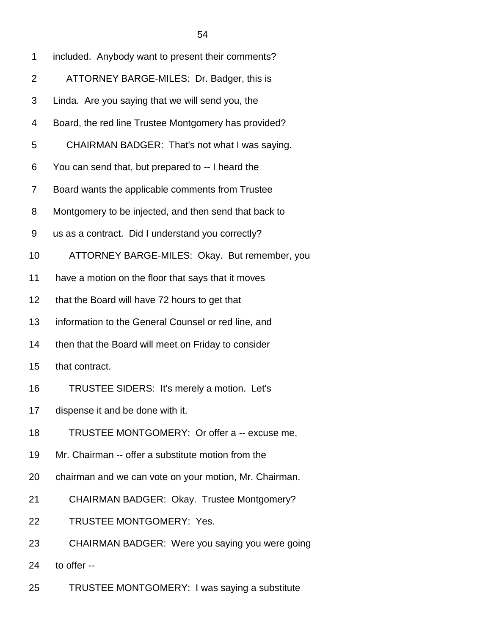| 1              | included. Anybody want to present their comments?      |
|----------------|--------------------------------------------------------|
| $\overline{2}$ | ATTORNEY BARGE-MILES: Dr. Badger, this is              |
| 3              | Linda. Are you saying that we will send you, the       |
| 4              | Board, the red line Trustee Montgomery has provided?   |
| 5              | CHAIRMAN BADGER: That's not what I was saying.         |
| 6              | You can send that, but prepared to -- I heard the      |
| 7              | Board wants the applicable comments from Trustee       |
| 8              | Montgomery to be injected, and then send that back to  |
| 9              | us as a contract. Did I understand you correctly?      |
| 10             | ATTORNEY BARGE-MILES: Okay. But remember, you          |
| 11             | have a motion on the floor that says that it moves     |
| 12             | that the Board will have 72 hours to get that          |
| 13             | information to the General Counsel or red line, and    |
| 14             | then that the Board will meet on Friday to consider    |
| 15             | that contract.                                         |
| 16             | TRUSTEE SIDERS: It's merely a motion. Let's            |
| 17             | dispense it and be done with it.                       |
| 18             | TRUSTEE MONTGOMERY: Or offer a -- excuse me,           |
| 19             | Mr. Chairman -- offer a substitute motion from the     |
| 20             | chairman and we can vote on your motion, Mr. Chairman. |
| 21             | CHAIRMAN BADGER: Okay. Trustee Montgomery?             |
| 22             | TRUSTEE MONTGOMERY: Yes.                               |
| 23             | CHAIRMAN BADGER: Were you saying you were going        |
| 24             | to offer --                                            |

25 TRUSTEE MONTGOMERY: I was saying a substitute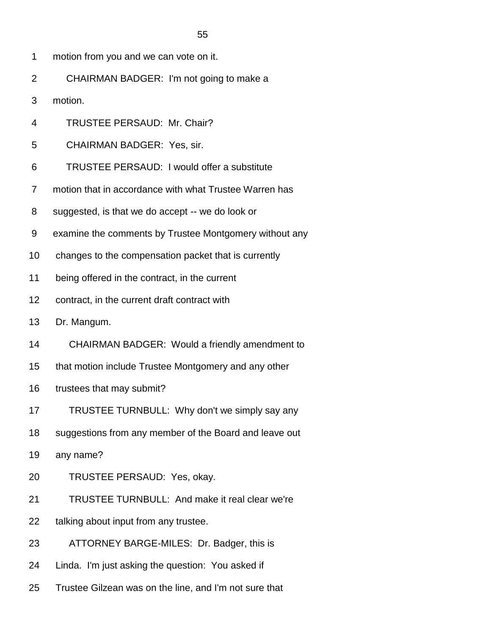- 1 motion from you and we can vote on it.
- 2 CHAIRMAN BADGER: I'm not going to make a
- 3 motion.
- 4 TRUSTEE PERSAUD: Mr. Chair?
- 5 CHAIRMAN BADGER: Yes, sir.
- 6 TRUSTEE PERSAUD: I would offer a substitute
- 7 motion that in accordance with what Trustee Warren has
- 8 suggested, is that we do accept -- we do look or
- 9 examine the comments by Trustee Montgomery without any
- 10 changes to the compensation packet that is currently
- 11 being offered in the contract, in the current
- 12 contract, in the current draft contract with
- 13 Dr. Mangum.
- 14 CHAIRMAN BADGER: Would a friendly amendment to
- 15 that motion include Trustee Montgomery and any other
- 16 trustees that may submit?
- 17 TRUSTEE TURNBULL: Why don't we simply say any
- 18 suggestions from any member of the Board and leave out
- 19 any name?
- 20 TRUSTEE PERSAUD: Yes, okay.
- 21 TRUSTEE TURNBULL: And make it real clear we're
- 22 talking about input from any trustee.
- 23 ATTORNEY BARGE-MILES: Dr. Badger, this is
- 24 Linda. I'm just asking the question: You asked if
- 25 Trustee Gilzean was on the line, and I'm not sure that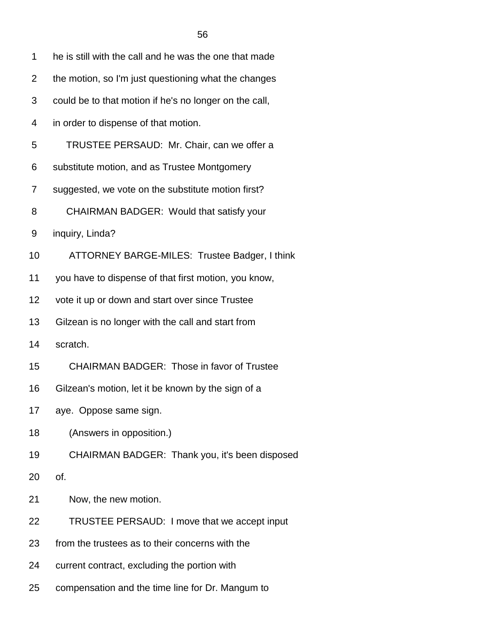| 1  | he is still with the call and he was the one that made |  |
|----|--------------------------------------------------------|--|
| 2  | the motion, so I'm just questioning what the changes   |  |
| 3  | could be to that motion if he's no longer on the call, |  |
| 4  | in order to dispense of that motion.                   |  |
| 5  | TRUSTEE PERSAUD: Mr. Chair, can we offer a             |  |
| 6  | substitute motion, and as Trustee Montgomery           |  |
| 7  | suggested, we vote on the substitute motion first?     |  |
| 8  | CHAIRMAN BADGER: Would that satisfy your               |  |
| 9  | inquiry, Linda?                                        |  |
| 10 | ATTORNEY BARGE-MILES: Trustee Badger, I think          |  |
| 11 | you have to dispense of that first motion, you know,   |  |
| 12 | vote it up or down and start over since Trustee        |  |
| 13 | Gilzean is no longer with the call and start from      |  |
| 14 | scratch.                                               |  |
| 15 | <b>CHAIRMAN BADGER: Those in favor of Trustee</b>      |  |
| 16 | Gilzean's motion, let it be known by the sign of a     |  |
| 17 | aye. Oppose same sign.                                 |  |
| 18 | (Answers in opposition.)                               |  |
| 19 | CHAIRMAN BADGER: Thank you, it's been disposed         |  |
| 20 | of.                                                    |  |
| 21 | Now, the new motion.                                   |  |
| 22 | TRUSTEE PERSAUD: I move that we accept input           |  |
| 23 | from the trustees as to their concerns with the        |  |
|    |                                                        |  |

- 24 current contract, excluding the portion with
- 25 compensation and the time line for Dr. Mangum to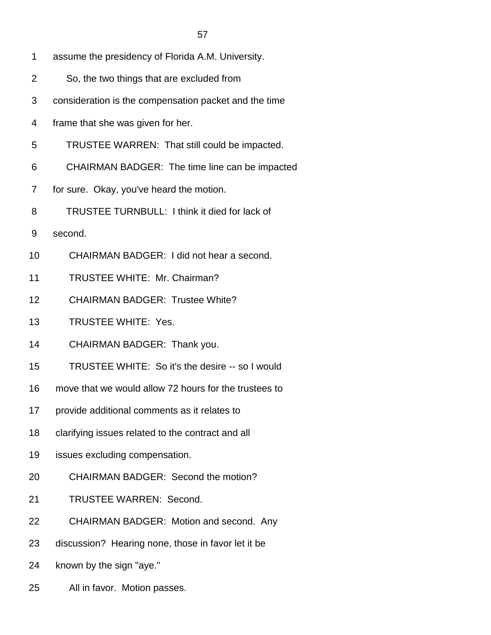- 1 assume the presidency of Florida A.M. University.
- 2 So, the two things that are excluded from
- 3 consideration is the compensation packet and the time
- 4 frame that she was given for her.
- 5 TRUSTEE WARREN: That still could be impacted.
- 6 CHAIRMAN BADGER: The time line can be impacted
- 7 for sure. Okay, you've heard the motion.
- 8 TRUSTEE TURNBULL: I think it died for lack of
- 9 second.
- 10 CHAIRMAN BADGER: I did not hear a second.
- 11 TRUSTEE WHITE: Mr. Chairman?
- 12 CHAIRMAN BADGER: Trustee White?
- 13 TRUSTEE WHITE: Yes.
- 14 CHAIRMAN BADGER: Thank you.
- 15 TRUSTEE WHITE: So it's the desire -- so I would
- 16 move that we would allow 72 hours for the trustees to
- 17 provide additional comments as it relates to
- 18 clarifying issues related to the contract and all
- 19 issues excluding compensation.
- 20 CHAIRMAN BADGER: Second the motion?
- 21 TRUSTEE WARREN: Second.
- 22 CHAIRMAN BADGER: Motion and second. Any
- 23 discussion? Hearing none, those in favor let it be
- 24 known by the sign "aye."
- 25 All in favor. Motion passes.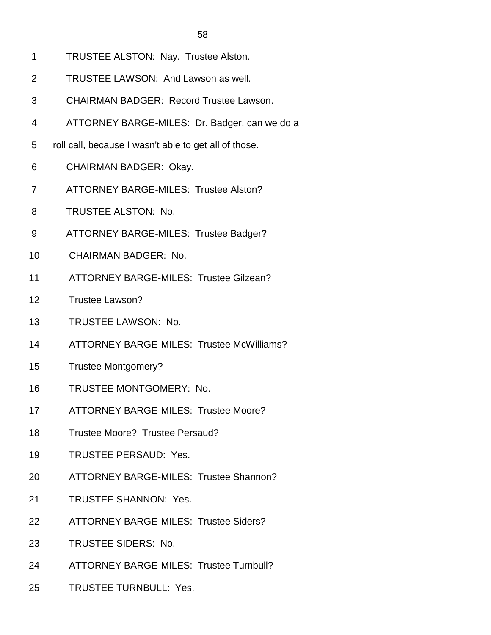- 1 TRUSTEE ALSTON: Nay. Trustee Alston.
- 2 TRUSTEE LAWSON: And Lawson as well.
- 3 CHAIRMAN BADGER: Record Trustee Lawson.
- 4 ATTORNEY BARGE-MILES: Dr. Badger, can we do a
- 5 roll call, because I wasn't able to get all of those.
- 6 CHAIRMAN BADGER: Okay.
- 7 ATTORNEY BARGE-MILES: Trustee Alston?
- 8 TRUSTEE ALSTON: No.
- 9 ATTORNEY BARGE-MILES: Trustee Badger?
- 10 CHAIRMAN BADGER: No.
- 11 ATTORNEY BARGE-MILES: Trustee Gilzean?
- 12 Trustee Lawson?
- 13 TRUSTEE LAWSON: No.
- 14 ATTORNEY BARGE-MILES: Trustee McWilliams?
- 15 Trustee Montgomery?
- 16 TRUSTEE MONTGOMERY: No.
- 17 ATTORNEY BARGE-MILES: Trustee Moore?
- 18 Trustee Moore? Trustee Persaud?
- 19 TRUSTEE PERSAUD: Yes.
- 20 ATTORNEY BARGE-MILES: Trustee Shannon?
- 21 TRUSTEE SHANNON: Yes.
- 22 ATTORNEY BARGE-MILES: Trustee Siders?
- 23 TRUSTEE SIDERS: No.
- 24 ATTORNEY BARGE-MILES: Trustee Turnbull?
- 25 TRUSTEE TURNBULL: Yes.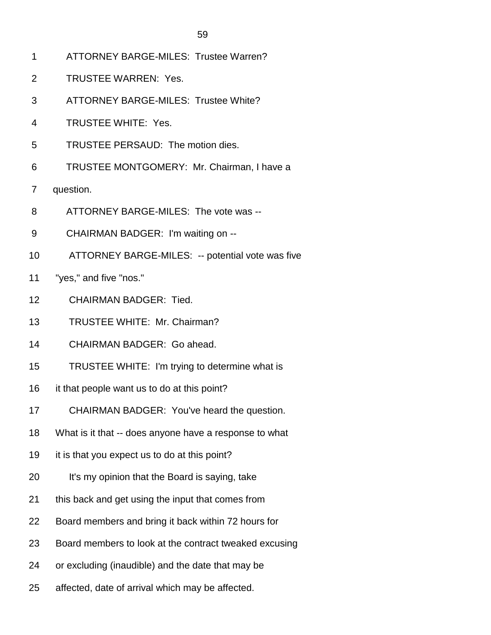- 1 ATTORNEY BARGE-MILES: Trustee Warren?
- 2 TRUSTEE WARREN: Yes.
- 3 ATTORNEY BARGE-MILES: Trustee White?
- 4 TRUSTEE WHITE: Yes.
- 5 TRUSTEE PERSAUD: The motion dies.
- 6 TRUSTEE MONTGOMERY: Mr. Chairman, I have a
- 7 question.
- 8 ATTORNEY BARGE-MILES: The vote was --
- 9 CHAIRMAN BADGER: I'm waiting on --
- 10 ATTORNEY BARGE-MILES: -- potential vote was five
- 11 "yes," and five "nos."
- 12 CHAIRMAN BADGER: Tied.
- 13 TRUSTEE WHITE: Mr. Chairman?
- 14 CHAIRMAN BADGER: Go ahead.
- 15 TRUSTEE WHITE: I'm trying to determine what is
- 16 it that people want us to do at this point?
- 17 CHAIRMAN BADGER: You've heard the question.
- 18 What is it that -- does anyone have a response to what
- 19 it is that you expect us to do at this point?
- 20 It's my opinion that the Board is saying, take
- 21 this back and get using the input that comes from
- 22 Board members and bring it back within 72 hours for
- 23 Board members to look at the contract tweaked excusing
- 24 or excluding (inaudible) and the date that may be
- 25 affected, date of arrival which may be affected.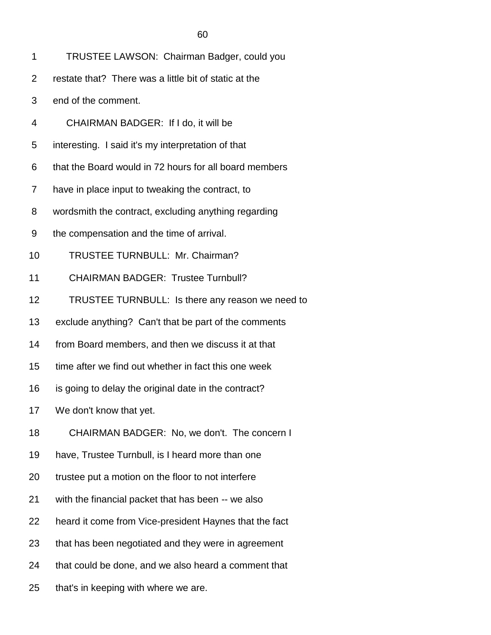| TRUSTEE LAWSON: Chairman Badger, could you |  |
|--------------------------------------------|--|
|--------------------------------------------|--|

- 2 restate that? There was a little bit of static at the
- 3 end of the comment.
- 4 CHAIRMAN BADGER: If I do, it will be
- 5 interesting. I said it's my interpretation of that
- 6 that the Board would in 72 hours for all board members
- 7 have in place input to tweaking the contract, to
- 8 wordsmith the contract, excluding anything regarding
- 9 the compensation and the time of arrival.
- 10 TRUSTEE TURNBULL: Mr. Chairman?
- 11 CHAIRMAN BADGER: Trustee Turnbull?
- 12 TRUSTEE TURNBULL: Is there any reason we need to
- 13 exclude anything? Can't that be part of the comments
- 14 from Board members, and then we discuss it at that
- 15 time after we find out whether in fact this one week
- 16 is going to delay the original date in the contract?
- 17 We don't know that yet.
- 18 CHAIRMAN BADGER: No, we don't. The concern I
- 19 have, Trustee Turnbull, is I heard more than one
- 20 trustee put a motion on the floor to not interfere
- 21 with the financial packet that has been -- we also
- 22 heard it come from Vice-president Haynes that the fact
- 23 that has been negotiated and they were in agreement
- 24 that could be done, and we also heard a comment that
- 25 that's in keeping with where we are.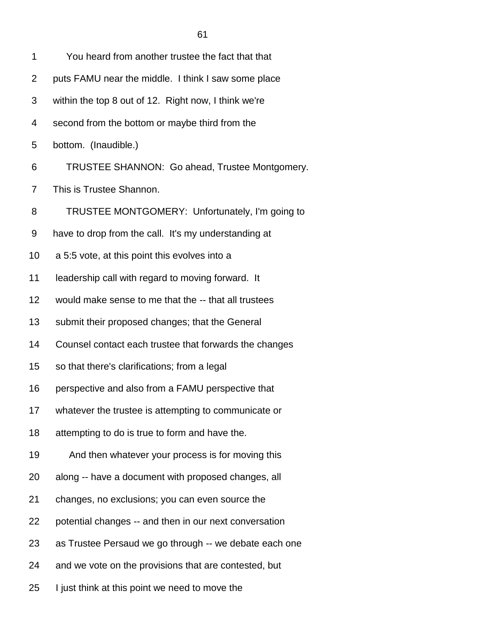1 You heard from another trustee the fact that that 2 puts FAMU near the middle. I think I saw some place 3 within the top 8 out of 12. Right now, I think we're 4 second from the bottom or maybe third from the 5 bottom. (Inaudible.)

6 TRUSTEE SHANNON: Go ahead, Trustee Montgomery.

7 This is Trustee Shannon.

8 TRUSTEE MONTGOMERY: Unfortunately, I'm going to

9 have to drop from the call. It's my understanding at

10 a 5:5 vote, at this point this evolves into a

11 leadership call with regard to moving forward. It

12 would make sense to me that the -- that all trustees

13 submit their proposed changes; that the General

14 Counsel contact each trustee that forwards the changes

15 so that there's clarifications; from a legal

16 perspective and also from a FAMU perspective that

17 whatever the trustee is attempting to communicate or

18 attempting to do is true to form and have the.

19 And then whatever your process is for moving this

20 along -- have a document with proposed changes, all

21 changes, no exclusions; you can even source the

22 potential changes -- and then in our next conversation

23 as Trustee Persaud we go through -- we debate each one

24 and we vote on the provisions that are contested, but

25 I just think at this point we need to move the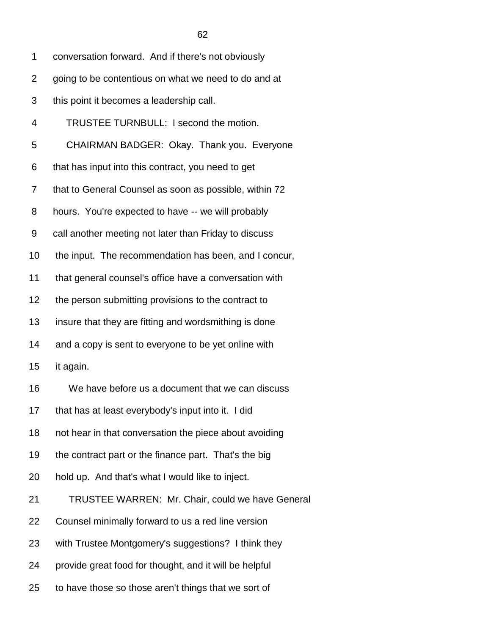| 1  | conversation forward. And if there's not obviously     |
|----|--------------------------------------------------------|
| 2  | going to be contentious on what we need to do and at   |
| 3  | this point it becomes a leadership call.               |
| 4  | TRUSTEE TURNBULL: I second the motion.                 |
| 5  | CHAIRMAN BADGER: Okay. Thank you. Everyone             |
| 6  | that has input into this contract, you need to get     |
| 7  | that to General Counsel as soon as possible, within 72 |
| 8  | hours. You're expected to have -- we will probably     |
| 9  | call another meeting not later than Friday to discuss  |
| 10 | the input. The recommendation has been, and I concur,  |
| 11 | that general counsel's office have a conversation with |
| 12 | the person submitting provisions to the contract to    |
| 13 | insure that they are fitting and wordsmithing is done  |
| 14 | and a copy is sent to everyone to be yet online with   |
| 15 | it again.                                              |
| 16 | We have before us a document that we can discuss       |
| 17 | that has at least everybody's input into it. I did     |
| 18 | not hear in that conversation the piece about avoiding |
| 19 | the contract part or the finance part. That's the big  |
| 20 | hold up. And that's what I would like to inject.       |
| 21 | TRUSTEE WARREN: Mr. Chair, could we have General       |
| 22 | Counsel minimally forward to us a red line version     |
| 23 | with Trustee Montgomery's suggestions? I think they    |
|    |                                                        |

- 24 provide great food for thought, and it will be helpful
- 25 to have those so those aren't things that we sort of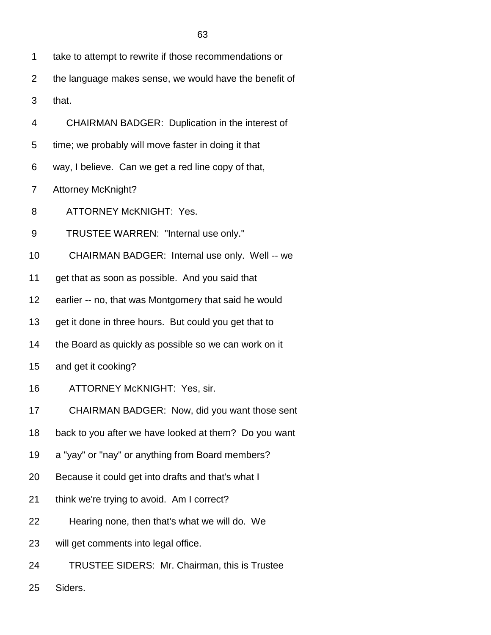| 1  | take to attempt to rewrite if those recommendations or |
|----|--------------------------------------------------------|
| 2  | the language makes sense, we would have the benefit of |
| 3  | that.                                                  |
| 4  | CHAIRMAN BADGER: Duplication in the interest of        |
| 5  | time; we probably will move faster in doing it that    |
| 6  | way, I believe. Can we get a red line copy of that,    |
| 7  | <b>Attorney McKnight?</b>                              |
| 8  | <b>ATTORNEY McKNIGHT: Yes.</b>                         |
| 9  | TRUSTEE WARREN: "Internal use only."                   |
| 10 | CHAIRMAN BADGER: Internal use only. Well -- we         |
| 11 | get that as soon as possible. And you said that        |
| 12 | earlier -- no, that was Montgomery that said he would  |
| 13 | get it done in three hours. But could you get that to  |
| 14 | the Board as quickly as possible so we can work on it  |
| 15 | and get it cooking?                                    |
| 16 | ATTORNEY McKNIGHT: Yes, sir.                           |
| 17 | CHAIRMAN BADGER: Now, did you want those sent          |
| 18 | back to you after we have looked at them? Do you want  |
| 19 | a "yay" or "nay" or anything from Board members?       |
| 20 | Because it could get into drafts and that's what I     |
| 21 | think we're trying to avoid. Am I correct?             |
| 22 | Hearing none, then that's what we will do. We          |
| 23 | will get comments into legal office.                   |
| 24 | TRUSTEE SIDERS: Mr. Chairman, this is Trustee          |

25 Siders.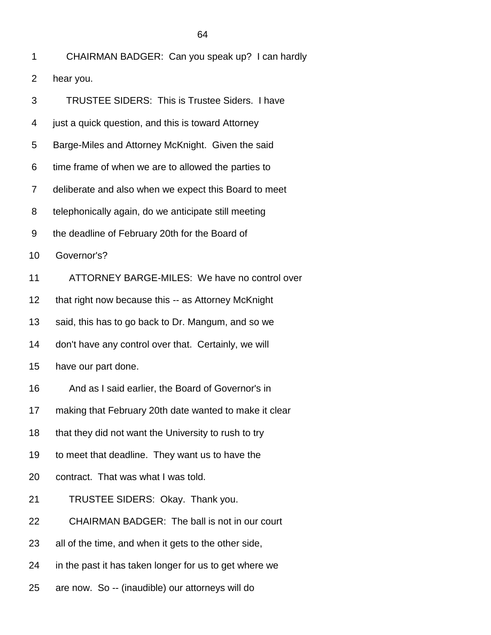| 1  | CHAIRMAN BADGER: Can you speak up? I can hardly        |
|----|--------------------------------------------------------|
| 2  | hear you.                                              |
| 3  | <b>TRUSTEE SIDERS: This is Trustee Siders. I have</b>  |
| 4  | just a quick question, and this is toward Attorney     |
| 5  | Barge-Miles and Attorney McKnight. Given the said      |
| 6  | time frame of when we are to allowed the parties to    |
| 7  | deliberate and also when we expect this Board to meet  |
| 8  | telephonically again, do we anticipate still meeting   |
| 9  | the deadline of February 20th for the Board of         |
| 10 | Governor's?                                            |
| 11 | ATTORNEY BARGE-MILES: We have no control over          |
| 12 | that right now because this -- as Attorney McKnight    |
| 13 | said, this has to go back to Dr. Mangum, and so we     |
| 14 | don't have any control over that. Certainly, we will   |
| 15 | have our part done.                                    |
| 16 | And as I said earlier, the Board of Governor's in      |
| 17 | making that February 20th date wanted to make it clear |
| 18 | that they did not want the University to rush to try   |
| 19 | to meet that deadline. They want us to have the        |
| 20 | contract. That was what I was told.                    |
| 21 | TRUSTEE SIDERS: Okay. Thank you.                       |
| 22 | CHAIRMAN BADGER: The ball is not in our court          |
| 23 | all of the time, and when it gets to the other side,   |
| 24 | in the past it has taken longer for us to get where we |
| 25 | are now. So -- (inaudible) our attorneys will do       |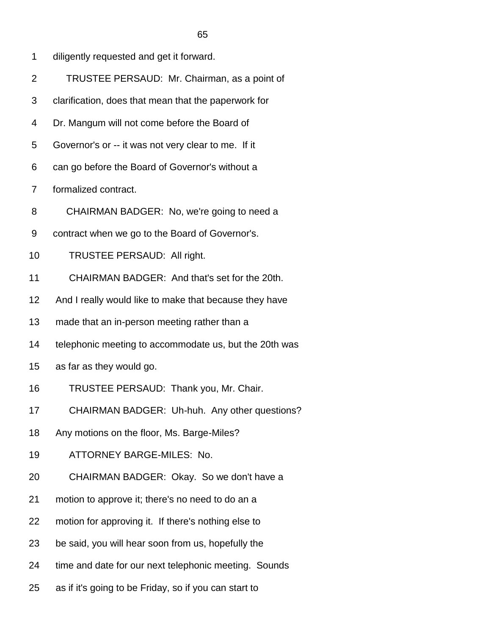- 1 diligently requested and get it forward.
- 2 TRUSTEE PERSAUD: Mr. Chairman, as a point of
- 3 clarification, does that mean that the paperwork for
- 4 Dr. Mangum will not come before the Board of
- 5 Governor's or -- it was not very clear to me. If it
- 6 can go before the Board of Governor's without a
- 7 formalized contract.
- 8 CHAIRMAN BADGER: No, we're going to need a
- 9 contract when we go to the Board of Governor's.
- 10 TRUSTEE PERSAUD: All right.
- 11 CHAIRMAN BADGER: And that's set for the 20th.
- 12 And I really would like to make that because they have
- 13 made that an in-person meeting rather than a
- 14 telephonic meeting to accommodate us, but the 20th was
- 15 as far as they would go.
- 16 TRUSTEE PERSAUD: Thank you, Mr. Chair.
- 17 CHAIRMAN BADGER: Uh-huh. Any other questions?
- 18 Any motions on the floor, Ms. Barge-Miles?
- 19 ATTORNEY BARGE-MILES: No.
- 20 CHAIRMAN BADGER: Okay. So we don't have a
- 21 motion to approve it; there's no need to do an a
- 22 motion for approving it. If there's nothing else to
- 23 be said, you will hear soon from us, hopefully the
- 24 time and date for our next telephonic meeting. Sounds
- 25 as if it's going to be Friday, so if you can start to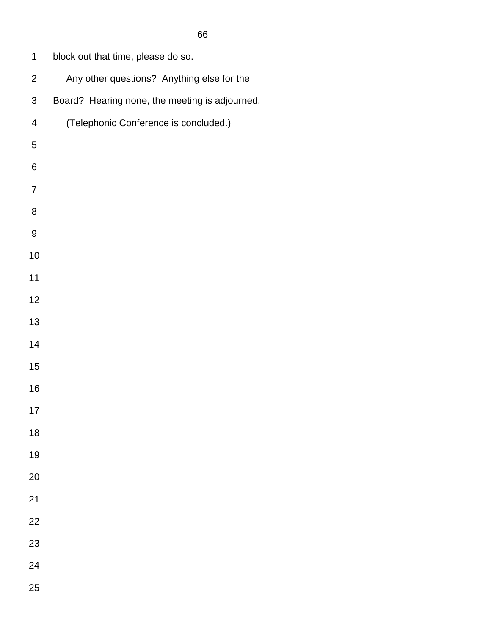| 1              | block out that time, please do so.             |
|----------------|------------------------------------------------|
| $\overline{2}$ | Any other questions? Anything else for the     |
| 3              | Board? Hearing none, the meeting is adjourned. |
| $\overline{4}$ | (Telephonic Conference is concluded.)          |
| 5              |                                                |
| 6              |                                                |
| 7              |                                                |
| 8              |                                                |
| 9              |                                                |
| 10             |                                                |
| 11             |                                                |
| 12             |                                                |
| 13             |                                                |
| 14             |                                                |
| 15             |                                                |
| 16             |                                                |
| 17             |                                                |
| 18             |                                                |
| 19             |                                                |
| 20             |                                                |
| 21             |                                                |
| 22             |                                                |

- 
- 
-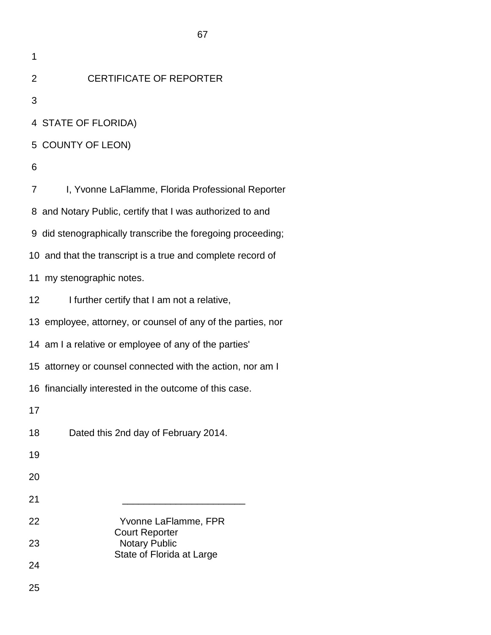2 CERTIFICATE OF REPORTER

3

4 STATE OF FLORIDA)

5 COUNTY OF LEON)

6

7 I, Yvonne LaFlamme, Florida Professional Reporter 8 and Notary Public, certify that I was authorized to and 9 did stenographically transcribe the foregoing proceeding; 10 and that the transcript is a true and complete record of 11 my stenographic notes. 12 I further certify that I am not a relative, 13 employee, attorney, or counsel of any of the parties, nor 14 am I a relative or employee of any of the parties' 15 attorney or counsel connected with the action, nor am I 16 financially interested in the outcome of this case. 17 18 Dated this 2nd day of February 2014. 19 20 21 \_\_\_\_\_\_\_\_\_\_\_\_\_\_\_\_\_\_\_\_\_\_\_ 22 Yvonne LaFlamme, FPR Court Reporter 23 Notary Public State of Florida at Large 24 25